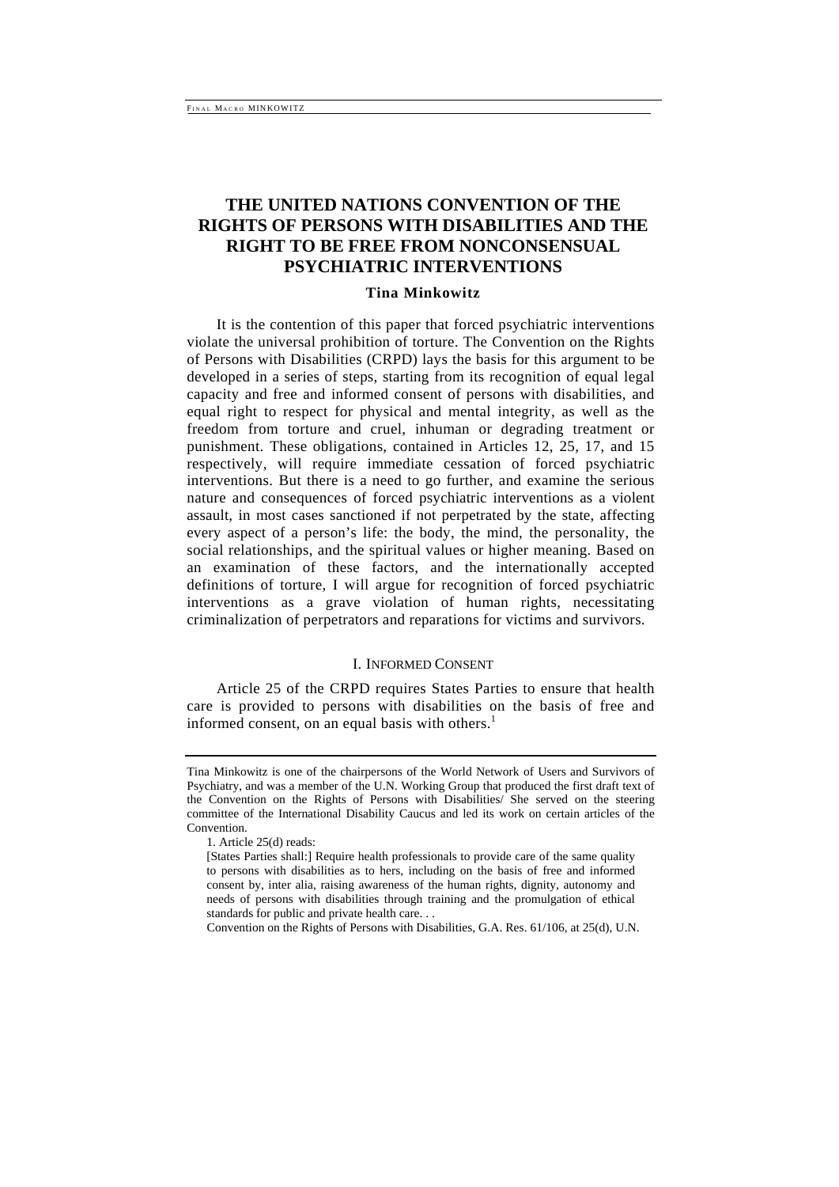# **THE UNITED NATIONS CONVENTION OF THE RIGHTS OF PERSONS WITH DISABILITIES AND THE RIGHT TO BE FREE FROM NONCONSENSUAL PSYCHIATRIC INTERVENTIONS**

# **Tina Minkowitz**

It is the contention of this paper that forced psychiatric interventions violate the universal prohibition of torture. The Convention on the Rights of Persons with Disabilities (CRPD) lays the basis for this argument to be developed in a series of steps, starting from its recognition of equal legal capacity and free and informed consent of persons with disabilities, and equal right to respect for physical and mental integrity, as well as the freedom from torture and cruel, inhuman or degrading treatment or punishment. These obligations, contained in Articles 12, 25, 17, and 15 respectively, will require immediate cessation of forced psychiatric interventions. But there is a need to go further, and examine the serious nature and consequences of forced psychiatric interventions as a violent assault, in most cases sanctioned if not perpetrated by the state, affecting every aspect of a person's life: the body, the mind, the personality, the social relationships, and the spiritual values or higher meaning. Based on an examination of these factors, and the internationally accepted definitions of torture, I will argue for recognition of forced psychiatric interventions as a grave violation of human rights, necessitating criminalization of perpetrators and reparations for victims and survivors.

#### I. INFORMED CONSENT

Article 25 of the CRPD requires States Parties to ensure that health care is provided to persons with disabilities on the basis of free and informed consent, on an equal basis with others. $<sup>1</sup>$ </sup>

Tina Minkowitz is one of the chairpersons of the World Network of Users and Survivors of Psychiatry, and was a member of the U.N. Working Group that produced the first draft text of the Convention on the Rights of Persons with Disabilities/ She served on the steering committee of the International Disability Caucus and led its work on certain articles of the Convention.

<sup>1.</sup> Article 25(d) reads:

<sup>[</sup>States Parties shall:] Require health professionals to provide care of the same quality to persons with disabilities as to hers, including on the basis of free and informed consent by, inter alia, raising awareness of the human rights, dignity, autonomy and needs of persons with disabilities through training and the promulgation of ethical standards for public and private health care. . .

Convention on the Rights of Persons with Disabilities, G.A. Res. 61/106, at 25(d), U.N.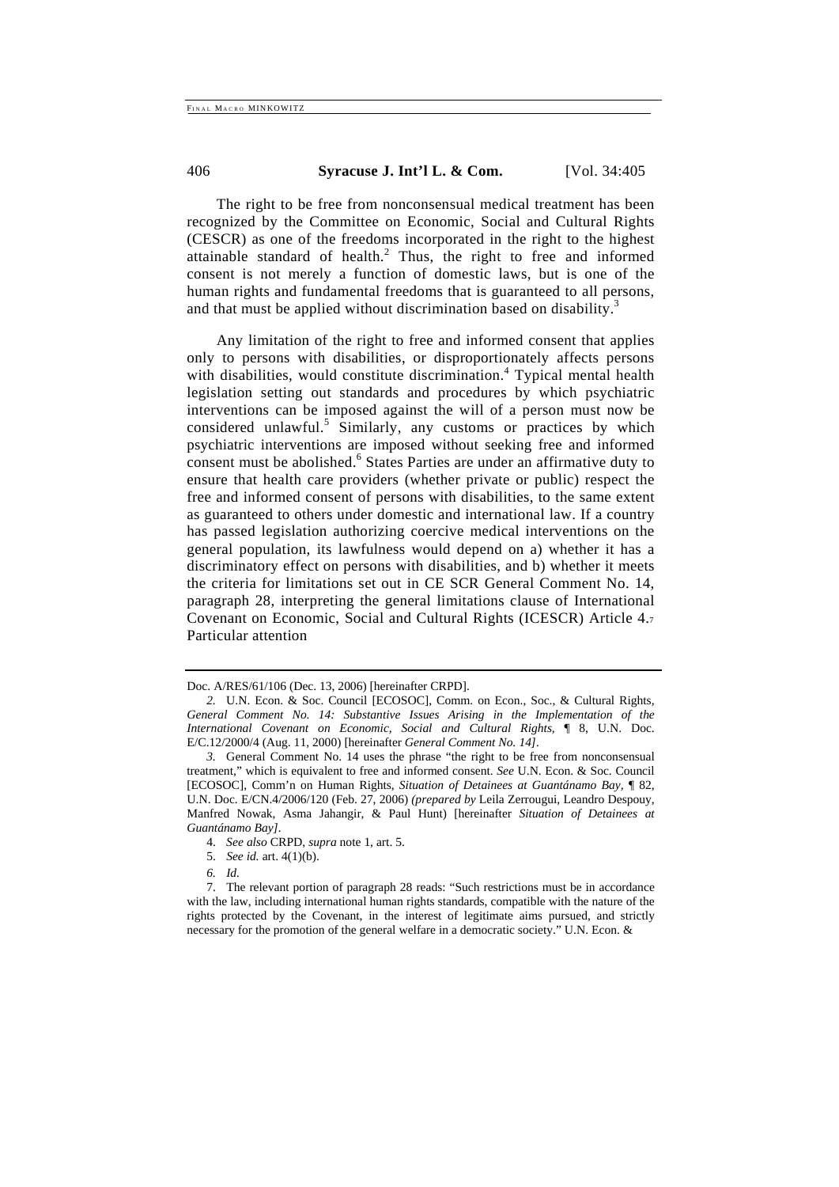The right to be free from nonconsensual medical treatment has been recognized by the Committee on Economic, Social and Cultural Rights (CESCR) as one of the freedoms incorporated in the right to the highest attainable standard of health. ${}^{2}$  Thus, the right to free and informed consent is not merely a function of domestic laws, but is one of the human rights and fundamental freedoms that is guaranteed to all persons, and that must be applied without discrimination based on disability.<sup>3</sup>

Any limitation of the right to free and informed consent that applies only to persons with disabilities, or disproportionately affects persons with disabilities, would constitute discrimination.<sup>4</sup> Typical mental health legislation setting out standards and procedures by which psychiatric interventions can be imposed against the will of a person must now be considered unlawful.<sup>5</sup> Similarly, any customs or practices by which psychiatric interventions are imposed without seeking free and informed consent must be abolished.<sup>6</sup> States Parties are under an affirmative duty to ensure that health care providers (whether private or public) respect the free and informed consent of persons with disabilities, to the same extent as guaranteed to others under domestic and international law. If a country has passed legislation authorizing coercive medical interventions on the general population, its lawfulness would depend on a) whether it has a discriminatory effect on persons with disabilities, and b) whether it meets the criteria for limitations set out in CE SCR General Comment No. 14, paragraph 28, interpreting the general limitations clause of International Covenant on Economic, Social and Cultural Rights (ICESCR) Article 4.7 Particular attention

*6. Id.* 

Doc. A/RES/61/106 (Dec. 13, 2006) [hereinafter CRPD].

*<sup>2.</sup>* U.N. Econ. & Soc. Council [ECOSOC], Comm. on Econ., Soc., & Cultural Rights, *General Comment No. 14: Substantive Issues Arising in the Implementation of the International Covenant on Economic, Social and Cultural Rights,* ¶ 8, U.N. Doc. E/C.12/2000/4 (Aug. 11, 2000) [hereinafter *General Comment No. 14].* 

*<sup>3.</sup>* General Comment No. 14 uses the phrase "the right to be free from nonconsensual treatment," which is equivalent to free and informed consent. *See* U.N. Econ. & Soc. Council [ECOSOC], Comm'n on Human Rights, *Situation of Detainees at Guantánamo Bay,* ¶ 82, U.N. Doc. E/CN.4/2006/120 (Feb. 27, 2006) *(prepared by* Leila Zerrougui, Leandro Despouy, Manfred Nowak, Asma Jahangir, & Paul Hunt) [hereinafter *Situation of Detainees at Guantánamo Bay].* 

<sup>4.</sup> *See also* CRPD, *supra* note 1, art. 5.

<sup>5.</sup> *See id.* art. 4(1)(b).

<sup>7.</sup> The relevant portion of paragraph 28 reads: "Such restrictions must be in accordance with the law, including international human rights standards, compatible with the nature of the rights protected by the Covenant, in the interest of legitimate aims pursued, and strictly necessary for the promotion of the general welfare in a democratic society." U.N. Econ. &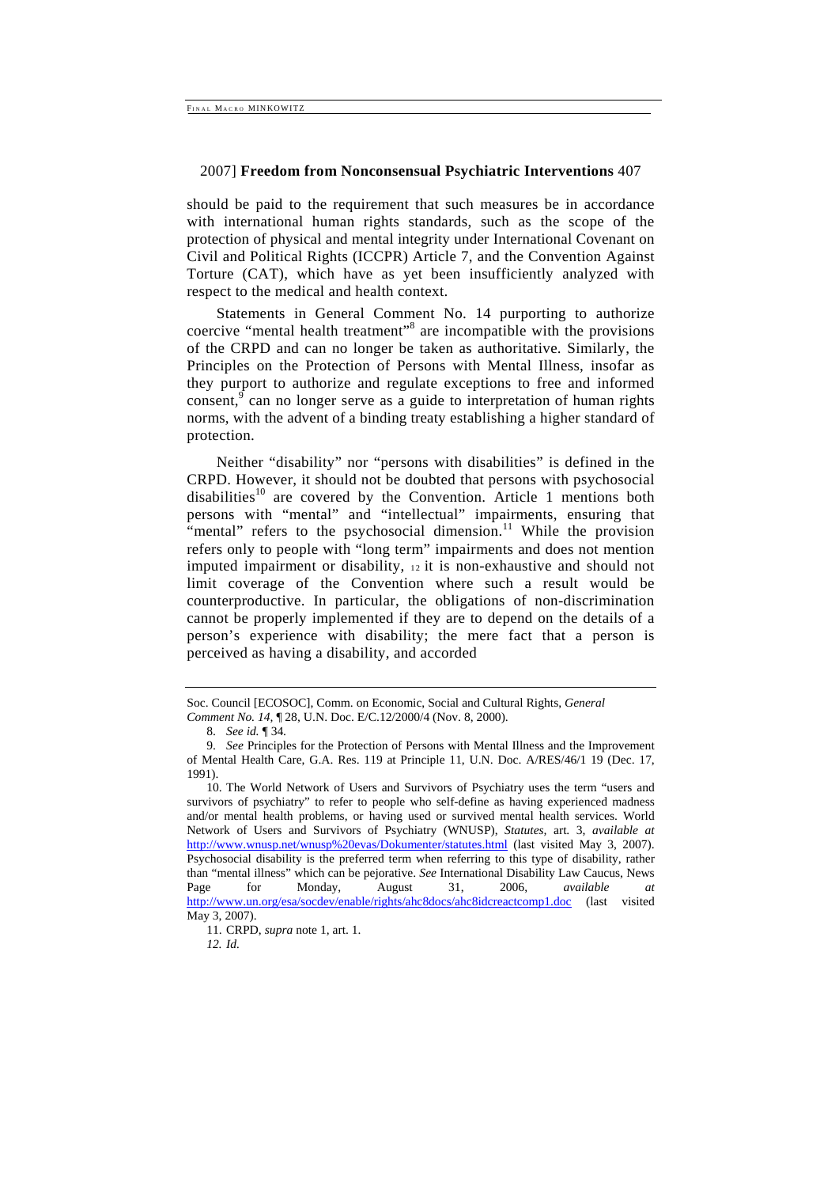should be paid to the requirement that such measures be in accordance with international human rights standards, such as the scope of the protection of physical and mental integrity under International Covenant on Civil and Political Rights (ICCPR) Article 7, and the Convention Against Torture (CAT), which have as yet been insufficiently analyzed with respect to the medical and health context.

Statements in General Comment No. 14 purporting to authorize coercive "mental health treatment"<sup>8</sup> are incompatible with the provisions of the CRPD and can no longer be taken as authoritative. Similarly, the Principles on the Protection of Persons with Mental Illness, insofar as they purport to authorize and regulate exceptions to free and informed consent,  $9^{\circ}$  can no longer serve as a guide to interpretation of human rights norms, with the advent of a binding treaty establishing a higher standard of protection.

Neither "disability" nor "persons with disabilities" is defined in the CRPD. However, it should not be doubted that persons with psychosocial disabilities<sup>10</sup> are covered by the Convention. Article 1 mentions both persons with "mental" and "intellectual" impairments, ensuring that "mental" refers to the psychosocial dimension.<sup>11</sup> While the provision refers only to people with "long term" impairments and does not mention imputed impairment or disability, 12 it is non-exhaustive and should not limit coverage of the Convention where such a result would be counterproductive. In particular, the obligations of non-discrimination cannot be properly implemented if they are to depend on the details of a person's experience with disability; the mere fact that a person is perceived as having a disability, and accorded

Soc. Council [ECOSOC], Comm. on Economic, Social and Cultural Rights, *General* 

*Comment No. 14,* ¶ 28, U.N. Doc. E/C.12/2000/4 (Nov. 8, 2000).

<sup>8.</sup> *See id.* ¶ 34.

<sup>9.</sup> *See* Principles for the Protection of Persons with Mental Illness and the Improvement of Mental Health Care, G.A. Res. 119 at Principle 11, U.N. Doc. A/RES/46/1 19 (Dec. 17, 1991).

<sup>10.</sup> The World Network of Users and Survivors of Psychiatry uses the term "users and survivors of psychiatry" to refer to people who self-define as having experienced madness and/or mental health problems, or having used or survived mental health services. World Network of Users and Survivors of Psychiatry (WNUSP), *Statutes,* art. 3, *available at*  http://www.wnusp.net/wnusp%20evas/Dokumenter/statutes.html (last visited May 3, 2007). Psychosocial disability is the preferred term when referring to this type of disability, rather than "mental illness" which can be pejorative. *See* International Disability Law Caucus, News Page for Monday, August 31, 2006, *available at*  http://www.un.org/esa/socdev/enable/rights/ahc8docs/ahc8idcreactcomp1.doc (last visited May 3, 2007).

<sup>11.</sup> CRPD, *supra* note 1, art. 1.

*<sup>12.</sup> Id.*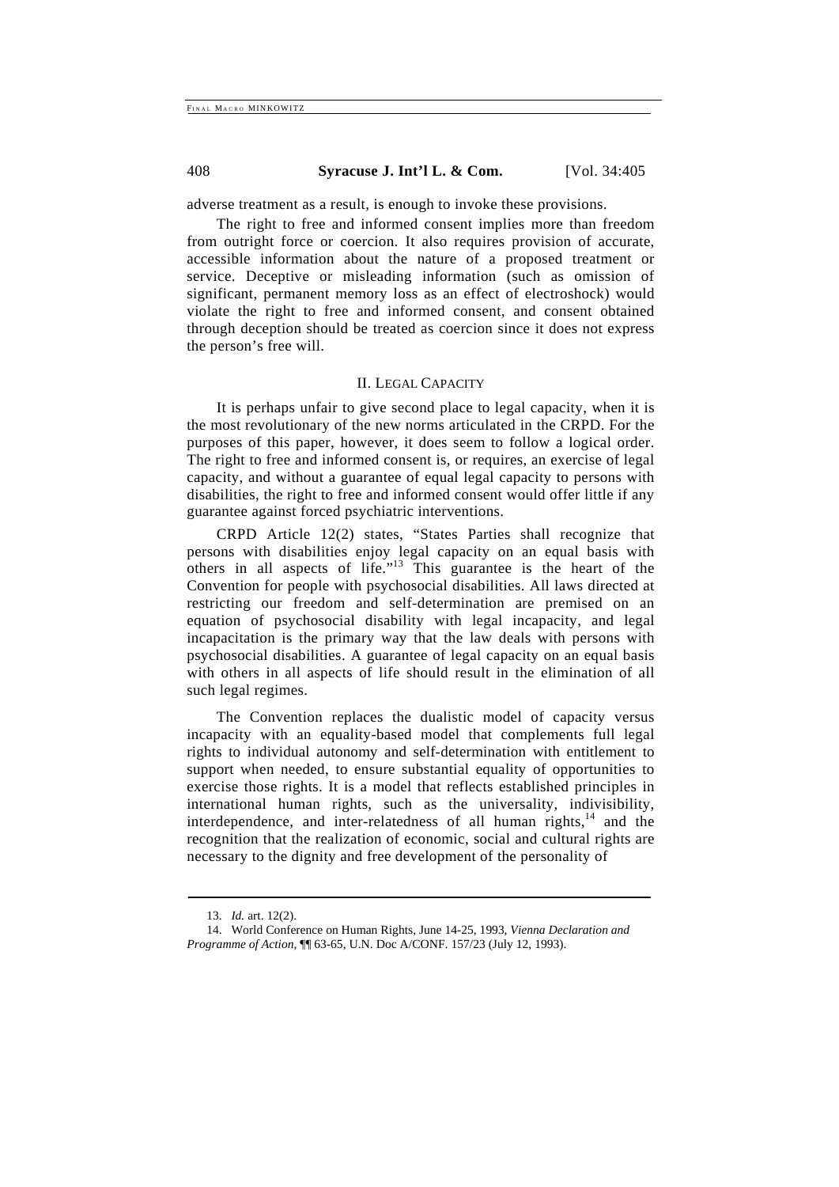adverse treatment as a result, is enough to invoke these provisions.

The right to free and informed consent implies more than freedom from outright force or coercion. It also requires provision of accurate, accessible information about the nature of a proposed treatment or service. Deceptive or misleading information (such as omission of significant, permanent memory loss as an effect of electroshock) would violate the right to free and informed consent, and consent obtained through deception should be treated as coercion since it does not express the person's free will.

#### II. LEGAL CAPACITY

It is perhaps unfair to give second place to legal capacity, when it is the most revolutionary of the new norms articulated in the CRPD. For the purposes of this paper, however, it does seem to follow a logical order. The right to free and informed consent is, or requires, an exercise of legal capacity, and without a guarantee of equal legal capacity to persons with disabilities, the right to free and informed consent would offer little if any guarantee against forced psychiatric interventions.

CRPD Article 12(2) states, "States Parties shall recognize that persons with disabilities enjoy legal capacity on an equal basis with others in all aspects of life."13 This guarantee is the heart of the Convention for people with psychosocial disabilities. All laws directed at restricting our freedom and self-determination are premised on an equation of psychosocial disability with legal incapacity, and legal incapacitation is the primary way that the law deals with persons with psychosocial disabilities. A guarantee of legal capacity on an equal basis with others in all aspects of life should result in the elimination of all such legal regimes.

The Convention replaces the dualistic model of capacity versus incapacity with an equality-based model that complements full legal rights to individual autonomy and self-determination with entitlement to support when needed, to ensure substantial equality of opportunities to exercise those rights. It is a model that reflects established principles in international human rights, such as the universality, indivisibility, interdependence, and inter-relatedness of all human rights, $14$  and the recognition that the realization of economic, social and cultural rights are necessary to the dignity and free development of the personality of

<sup>13.</sup> *Id.* art. 12(2).

<sup>14.</sup> World Conference on Human Rights, June 14-25, 1993, *Vienna Declaration and Programme of Action,* ¶¶ 63-65, U.N. Doc A/CONF. 157/23 (July 12, 1993).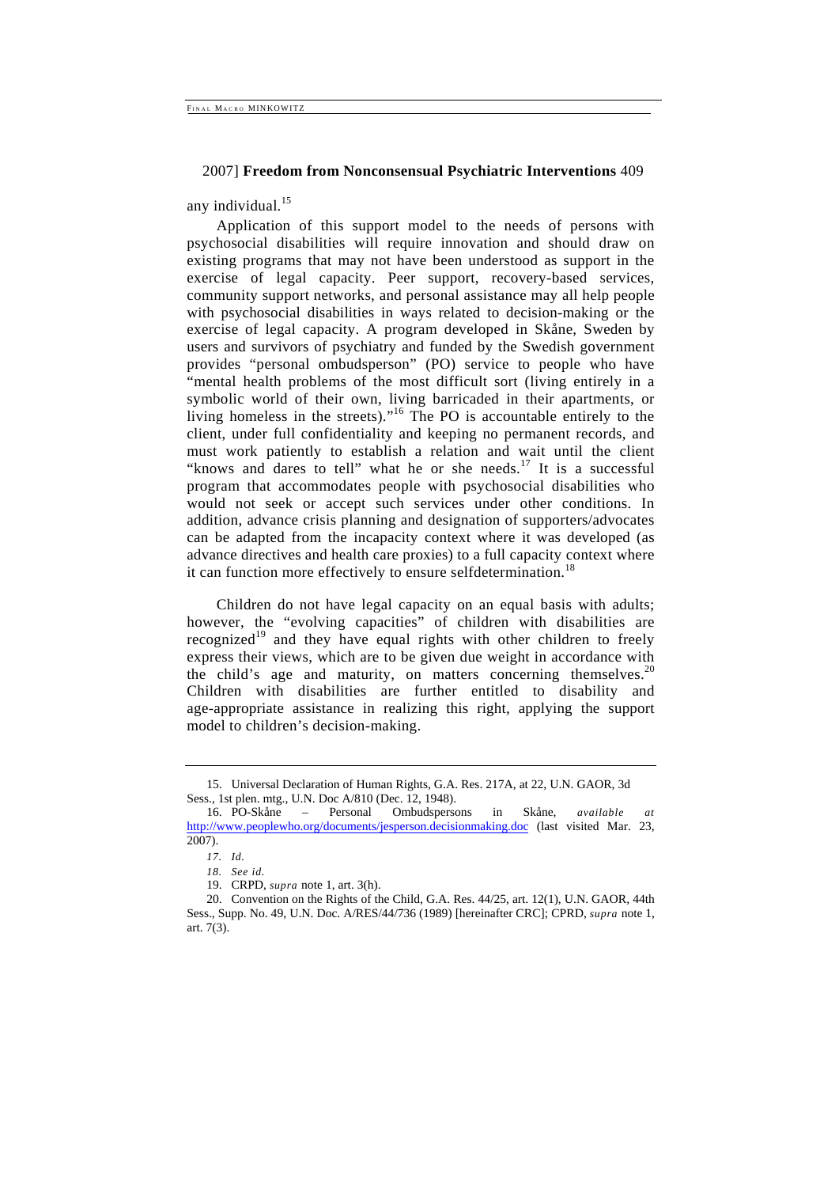any individual. $15$ 

Application of this support model to the needs of persons with psychosocial disabilities will require innovation and should draw on existing programs that may not have been understood as support in the exercise of legal capacity. Peer support, recovery-based services, community support networks, and personal assistance may all help people with psychosocial disabilities in ways related to decision-making or the exercise of legal capacity. A program developed in Skåne, Sweden by users and survivors of psychiatry and funded by the Swedish government provides "personal ombudsperson" (PO) service to people who have "mental health problems of the most difficult sort (living entirely in a symbolic world of their own, living barricaded in their apartments, or living homeless in the streets)."16 The PO is accountable entirely to the client, under full confidentiality and keeping no permanent records, and must work patiently to establish a relation and wait until the client "knows and dares to tell" what he or she needs. $17$  It is a successful program that accommodates people with psychosocial disabilities who would not seek or accept such services under other conditions. In addition, advance crisis planning and designation of supporters/advocates can be adapted from the incapacity context where it was developed (as advance directives and health care proxies) to a full capacity context where it can function more effectively to ensure selfdetermination.<sup>18</sup>

Children do not have legal capacity on an equal basis with adults; however, the "evolving capacities" of children with disabilities are recognized<sup>19</sup> and they have equal rights with other children to freely express their views, which are to be given due weight in accordance with the child's age and maturity, on matters concerning themselves.<sup>20</sup> Children with disabilities are further entitled to disability and age-appropriate assistance in realizing this right, applying the support model to children's decision-making.

<sup>15.</sup> Universal Declaration of Human Rights, G.A. Res. 217A, at 22, U.N. GAOR, 3d Sess., 1st plen. mtg., U.N. Doc A/810 (Dec. 12, 1948).

<sup>16.</sup> PO-Skåne – Personal Ombudspersons in Skåne, *available at*  http://www.peoplewho.org/documents/jesperson.decisionmaking.doc (last visited Mar. 23, 2007).

*<sup>17.</sup> Id.* 

*<sup>18.</sup> See id.* 

<sup>19.</sup> CRPD, *supra* note 1, art. 3(h).

<sup>20.</sup> Convention on the Rights of the Child, G.A. Res. 44/25, art. 12(1), U.N. GAOR, 44th Sess., Supp. No. 49, U.N. Doc. A/RES/44/736 (1989) [hereinafter CRC]; CPRD, *supra* note 1, art. 7(3).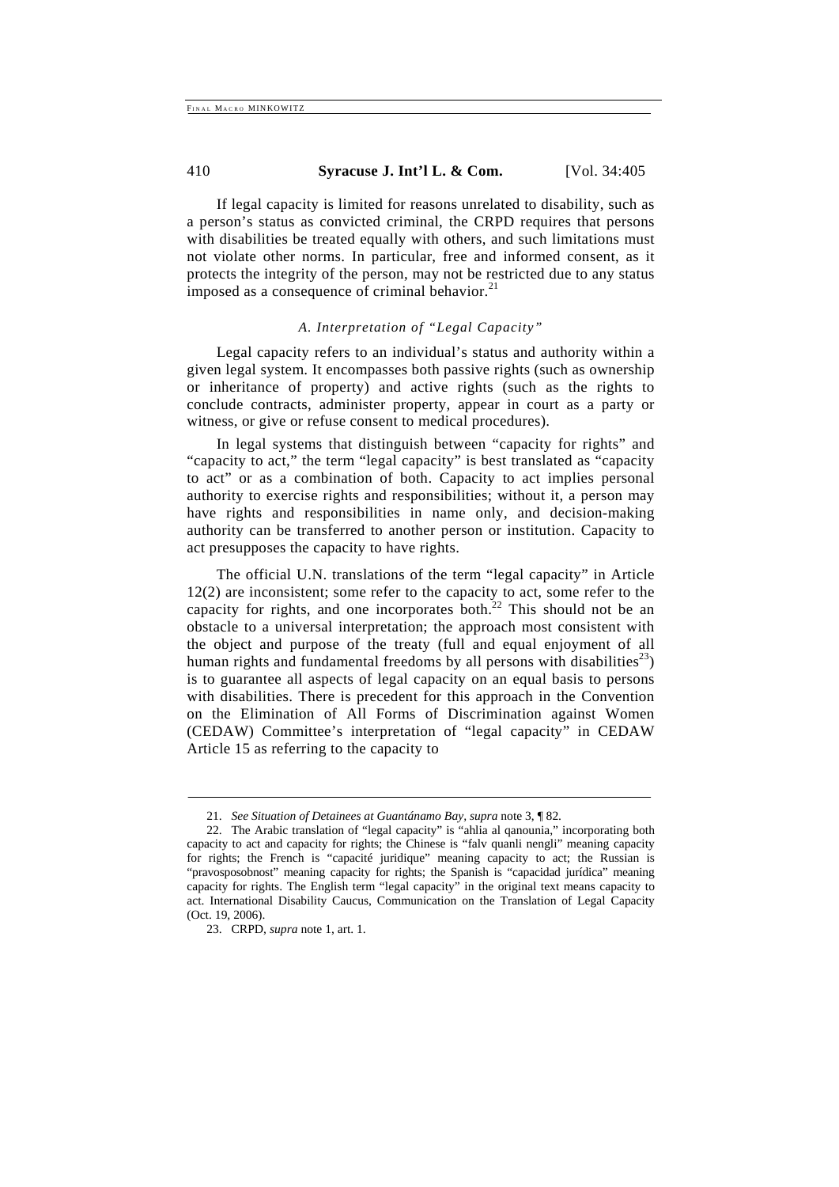If legal capacity is limited for reasons unrelated to disability, such as a person's status as convicted criminal, the CRPD requires that persons with disabilities be treated equally with others, and such limitations must not violate other norms. In particular, free and informed consent, as it protects the integrity of the person, may not be restricted due to any status imposed as a consequence of criminal behavior. $21$ 

# *A. Interpretation of "Legal Capacity"*

Legal capacity refers to an individual's status and authority within a given legal system. It encompasses both passive rights (such as ownership or inheritance of property) and active rights (such as the rights to conclude contracts, administer property, appear in court as a party or witness, or give or refuse consent to medical procedures).

In legal systems that distinguish between "capacity for rights" and "capacity to act," the term "legal capacity" is best translated as "capacity to act" or as a combination of both. Capacity to act implies personal authority to exercise rights and responsibilities; without it, a person may have rights and responsibilities in name only, and decision-making authority can be transferred to another person or institution. Capacity to act presupposes the capacity to have rights.

The official U.N. translations of the term "legal capacity" in Article 12(2) are inconsistent; some refer to the capacity to act, some refer to the capacity for rights, and one incorporates both. $22$  This should not be an obstacle to a universal interpretation; the approach most consistent with the object and purpose of the treaty (full and equal enjoyment of all human rights and fundamental freedoms by all persons with disabilities<sup>23</sup>) is to guarantee all aspects of legal capacity on an equal basis to persons with disabilities. There is precedent for this approach in the Convention on the Elimination of All Forms of Discrimination against Women (CEDAW) Committee's interpretation of "legal capacity" in CEDAW Article 15 as referring to the capacity to

<sup>21.</sup> *See Situation of Detainees at Guantánamo Bay, supra* note 3, ¶ 82.

<sup>22.</sup> The Arabic translation of "legal capacity" is "ahlia al qanounia," incorporating both capacity to act and capacity for rights; the Chinese is "falv quanli nengli" meaning capacity for rights; the French is "capacité juridique" meaning capacity to act; the Russian is "pravosposobnost" meaning capacity for rights; the Spanish is "capacidad jurídica" meaning capacity for rights. The English term "legal capacity" in the original text means capacity to act. International Disability Caucus, Communication on the Translation of Legal Capacity (Oct. 19, 2006).

<sup>23.</sup> CRPD, *supra* note 1, art. 1.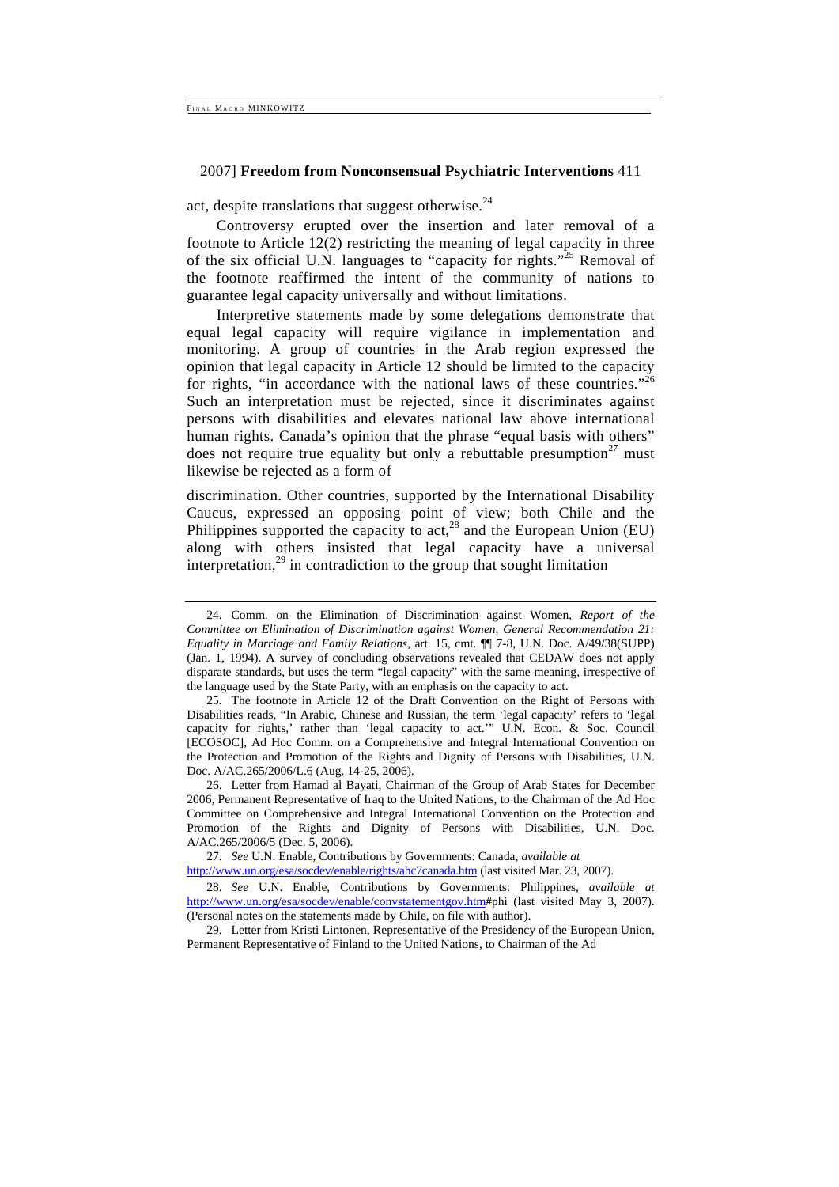act, despite translations that suggest otherwise. $^{24}$ 

Controversy erupted over the insertion and later removal of a footnote to Article 12(2) restricting the meaning of legal capacity in three of the six official U.N. languages to "capacity for rights."<sup>25</sup> Removal of the footnote reaffirmed the intent of the community of nations to guarantee legal capacity universally and without limitations.

Interpretive statements made by some delegations demonstrate that equal legal capacity will require vigilance in implementation and monitoring. A group of countries in the Arab region expressed the opinion that legal capacity in Article 12 should be limited to the capacity for rights, "in accordance with the national laws of these countries."<sup>26</sup> Such an interpretation must be rejected, since it discriminates against persons with disabilities and elevates national law above international human rights. Canada's opinion that the phrase "equal basis with others" does not require true equality but only a rebuttable presumption<sup>27</sup> must likewise be rejected as a form of

discrimination. Other countries, supported by the International Disability Caucus, expressed an opposing point of view; both Chile and the Philippines supported the capacity to act,<sup>28</sup> and the European Union (EU) along with others insisted that legal capacity have a universal interpretation, $^{29}$  in contradiction to the group that sought limitation

27. *See* U.N. Enable, Contributions by Governments: Canada, *available at*  http://www.un.org/esa/socdev/enable/rights/ahc7canada.htm (last visited Mar. 23, 2007).

28. *See* U.N. Enable, Contributions by Governments: Philippines, *available at*  http://www.un.org/esa/socdev/enable/convstatementgov.htm#phi (last visited May 3, 2007). (Personal notes on the statements made by Chile, on file with author).

29. Letter from Kristi Lintonen, Representative of the Presidency of the European Union, Permanent Representative of Finland to the United Nations, to Chairman of the Ad

<sup>24.</sup> Comm. on the Elimination of Discrimination against Women, *Report of the Committee on Elimination of Discrimination against Women, General Recommendation 21: Equality in Marriage and Family Relations,* art. 15, cmt. ¶¶ 7-8, U.N. Doc. A/49/38(SUPP) (Jan. 1, 1994). A survey of concluding observations revealed that CEDAW does not apply disparate standards, but uses the term "legal capacity" with the same meaning, irrespective of the language used by the State Party, with an emphasis on the capacity to act.

<sup>25.</sup> The footnote in Article 12 of the Draft Convention on the Right of Persons with Disabilities reads, "In Arabic, Chinese and Russian, the term 'legal capacity' refers to 'legal capacity for rights,' rather than 'legal capacity to act.'" U.N. Econ. & Soc. Council [ECOSOC], Ad Hoc Comm. on a Comprehensive and Integral International Convention on the Protection and Promotion of the Rights and Dignity of Persons with Disabilities, U.N. Doc. A/AC.265/2006/L.6 (Aug. 14-25, 2006).

<sup>26.</sup> Letter from Hamad al Bayati, Chairman of the Group of Arab States for December 2006, Permanent Representative of Iraq to the United Nations, to the Chairman of the Ad Hoc Committee on Comprehensive and Integral International Convention on the Protection and Promotion of the Rights and Dignity of Persons with Disabilities, U.N. Doc. A/AC.265/2006/5 (Dec. 5, 2006).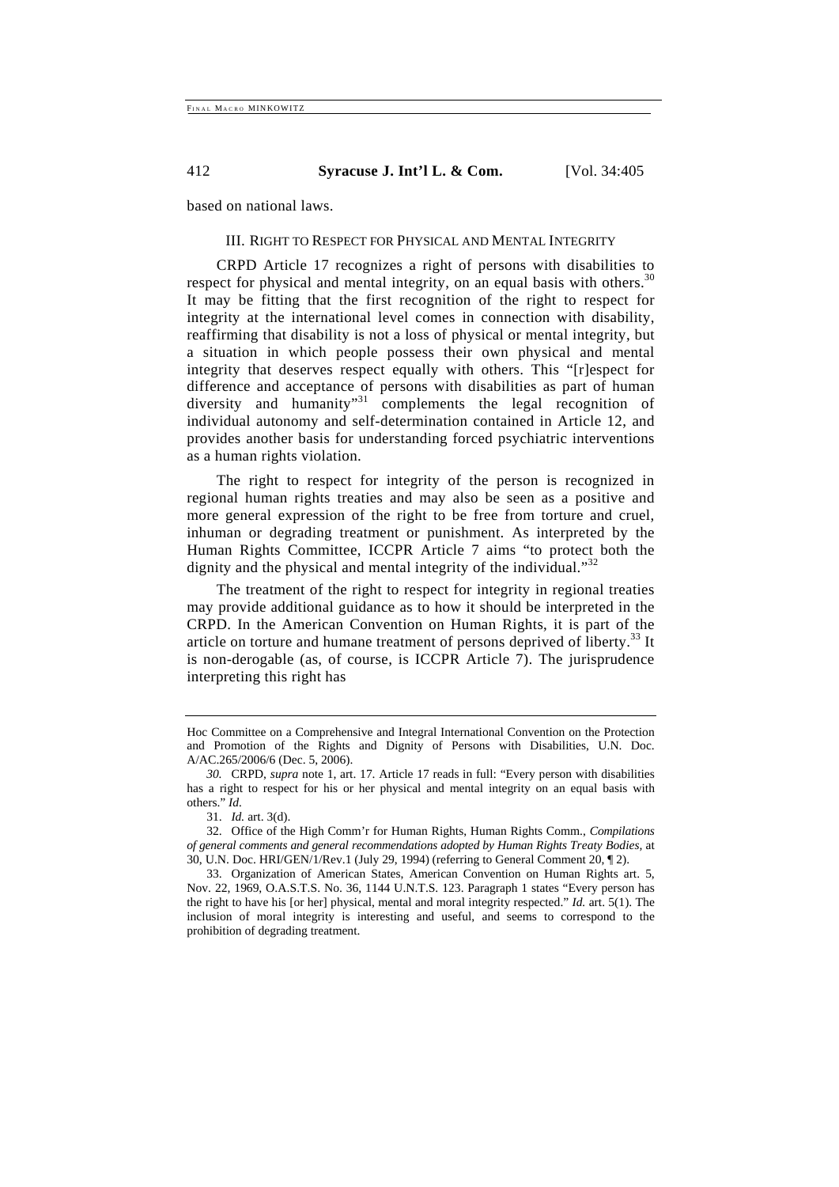based on national laws.

# III. RIGHT TO RESPECT FOR PHYSICAL AND MENTAL INTEGRITY

CRPD Article 17 recognizes a right of persons with disabilities to respect for physical and mental integrity, on an equal basis with others.<sup>30</sup> It may be fitting that the first recognition of the right to respect for integrity at the international level comes in connection with disability, reaffirming that disability is not a loss of physical or mental integrity, but a situation in which people possess their own physical and mental integrity that deserves respect equally with others. This "[r]espect for difference and acceptance of persons with disabilities as part of human diversity and humanity<sup>31</sup> complements the legal recognition of individual autonomy and self-determination contained in Article 12, and provides another basis for understanding forced psychiatric interventions as a human rights violation.

The right to respect for integrity of the person is recognized in regional human rights treaties and may also be seen as a positive and more general expression of the right to be free from torture and cruel, inhuman or degrading treatment or punishment. As interpreted by the Human Rights Committee, ICCPR Article 7 aims "to protect both the dignity and the physical and mental integrity of the individual."<sup>32</sup>

The treatment of the right to respect for integrity in regional treaties may provide additional guidance as to how it should be interpreted in the CRPD. In the American Convention on Human Rights, it is part of the article on torture and humane treatment of persons deprived of liberty.<sup>33</sup> It is non-derogable (as, of course, is ICCPR Article 7). The jurisprudence interpreting this right has

Hoc Committee on a Comprehensive and Integral International Convention on the Protection and Promotion of the Rights and Dignity of Persons with Disabilities, U.N. Doc. A/AC.265/2006/6 (Dec. 5, 2006).

*<sup>30.</sup>* CRPD, *supra* note 1, art. 17. Article 17 reads in full: "Every person with disabilities has a right to respect for his or her physical and mental integrity on an equal basis with others." *Id.* 

<sup>31.</sup> *Id.* art. 3(d).

<sup>32.</sup> Office of the High Comm'r for Human Rights, Human Rights Comm., *Compilations of general comments and general recommendations adopted by Human Rights Treaty Bodies,* at 30, U.N. Doc. HRI/GEN/1/Rev.1 (July 29, 1994) (referring to General Comment 20, ¶ 2).

<sup>33.</sup> Organization of American States, American Convention on Human Rights art. 5, Nov. 22, 1969, O.A.S.T.S. No. 36, 1144 U.N.T.S. 123. Paragraph 1 states "Every person has the right to have his [or her] physical, mental and moral integrity respected." *Id.* art. 5(1). The inclusion of moral integrity is interesting and useful, and seems to correspond to the prohibition of degrading treatment.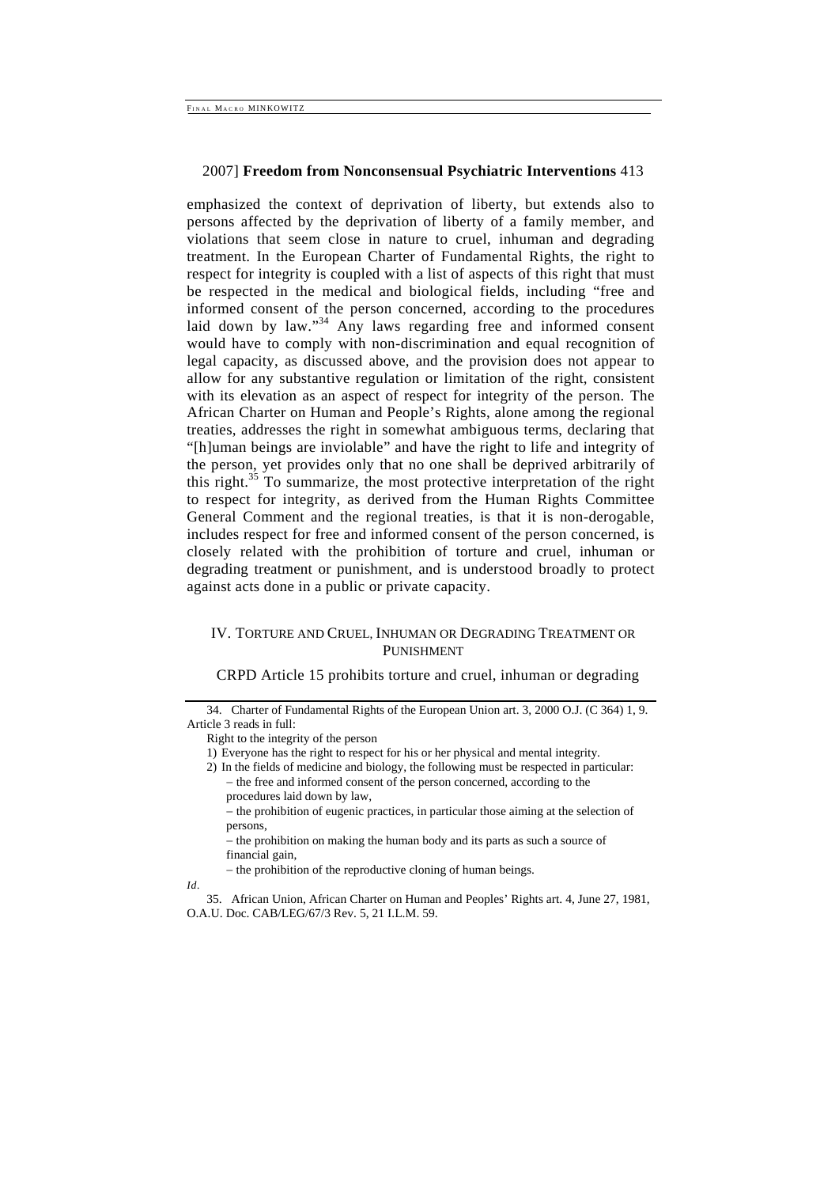emphasized the context of deprivation of liberty, but extends also to persons affected by the deprivation of liberty of a family member, and violations that seem close in nature to cruel, inhuman and degrading treatment. In the European Charter of Fundamental Rights, the right to respect for integrity is coupled with a list of aspects of this right that must be respected in the medical and biological fields, including "free and informed consent of the person concerned, according to the procedures laid down by law."<sup>34</sup> Any laws regarding free and informed consent would have to comply with non-discrimination and equal recognition of legal capacity, as discussed above, and the provision does not appear to allow for any substantive regulation or limitation of the right, consistent with its elevation as an aspect of respect for integrity of the person. The African Charter on Human and People's Rights, alone among the regional treaties, addresses the right in somewhat ambiguous terms, declaring that "[h]uman beings are inviolable" and have the right to life and integrity of the person, yet provides only that no one shall be deprived arbitrarily of this right.<sup>35</sup> To summarize, the most protective interpretation of the right to respect for integrity, as derived from the Human Rights Committee General Comment and the regional treaties, is that it is non-derogable, includes respect for free and informed consent of the person concerned, is closely related with the prohibition of torture and cruel, inhuman or degrading treatment or punishment, and is understood broadly to protect against acts done in a public or private capacity.

# IV. TORTURE AND CRUEL, INHUMAN OR DEGRADING TREATMENT OR PUNISHMENT

# CRPD Article 15 prohibits torture and cruel, inhuman or degrading

− the prohibition of eugenic practices, in particular those aiming at the selection of persons,

− the prohibition on making the human body and its parts as such a source of financial gain,

− the prohibition of the reproductive cloning of human beings.

*Id.* 

35. African Union, African Charter on Human and Peoples' Rights art. 4, June 27, 1981, O.A.U. Doc. CAB/LEG/67/3 Rev. 5, 21 I.L.M. 59.

<sup>34.</sup> Charter of Fundamental Rights of the European Union art. 3, 2000 O.J. (C 364) 1, 9. Article 3 reads in full:

Right to the integrity of the person

<sup>1)</sup> Everyone has the right to respect for his or her physical and mental integrity.

<sup>2)</sup> In the fields of medicine and biology, the following must be respected in particular: − the free and informed consent of the person concerned, according to the

procedures laid down by law,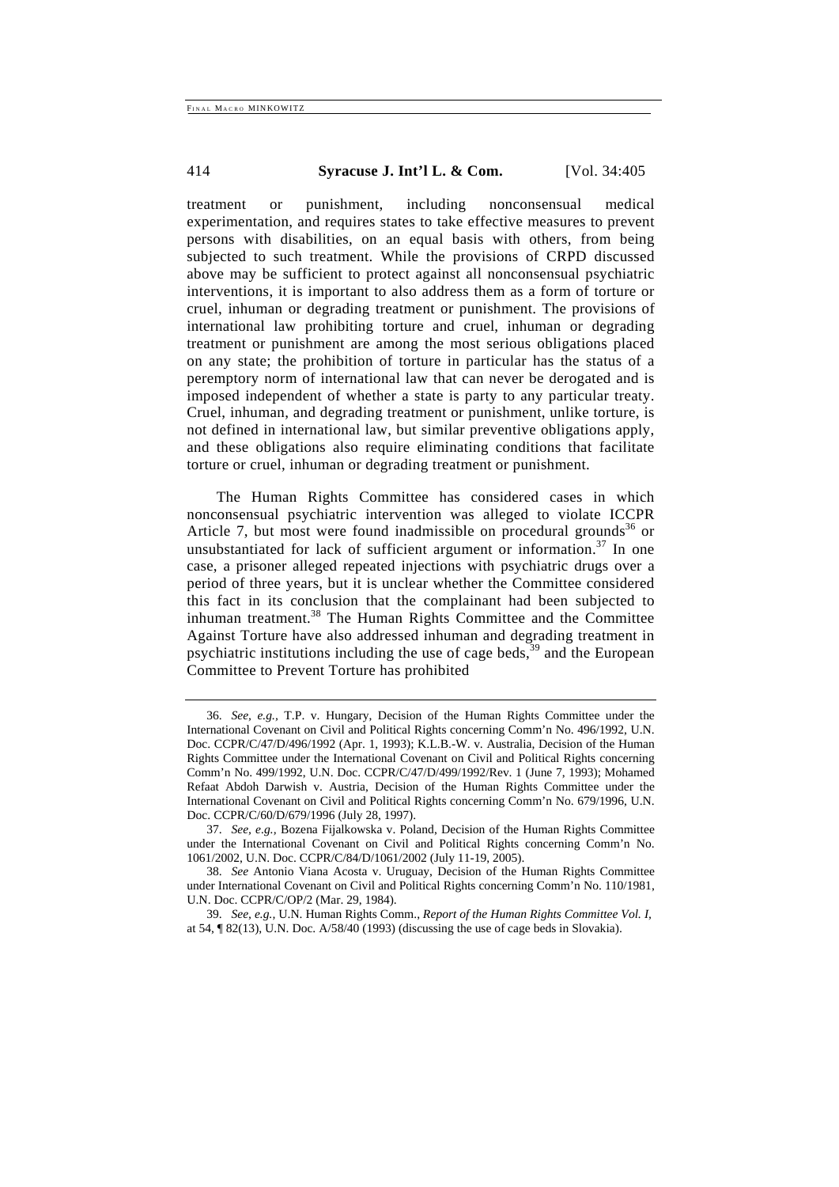treatment or punishment, including nonconsensual medical experimentation, and requires states to take effective measures to prevent persons with disabilities, on an equal basis with others, from being subjected to such treatment. While the provisions of CRPD discussed above may be sufficient to protect against all nonconsensual psychiatric interventions, it is important to also address them as a form of torture or cruel, inhuman or degrading treatment or punishment. The provisions of international law prohibiting torture and cruel, inhuman or degrading treatment or punishment are among the most serious obligations placed on any state; the prohibition of torture in particular has the status of a peremptory norm of international law that can never be derogated and is imposed independent of whether a state is party to any particular treaty. Cruel, inhuman, and degrading treatment or punishment, unlike torture, is not defined in international law, but similar preventive obligations apply, and these obligations also require eliminating conditions that facilitate torture or cruel, inhuman or degrading treatment or punishment.

The Human Rights Committee has considered cases in which nonconsensual psychiatric intervention was alleged to violate ICCPR Article 7, but most were found inadmissible on procedural grounds<sup>36</sup> or unsubstantiated for lack of sufficient argument or information.<sup>37</sup> In one case, a prisoner alleged repeated injections with psychiatric drugs over a period of three years, but it is unclear whether the Committee considered this fact in its conclusion that the complainant had been subjected to inhuman treatment.<sup>38</sup> The Human Rights Committee and the Committee Against Torture have also addressed inhuman and degrading treatment in psychiatric institutions including the use of cage beds, $39$  and the European Committee to Prevent Torture has prohibited

<sup>36.</sup> *See, e.g.,* T.P. v. Hungary, Decision of the Human Rights Committee under the International Covenant on Civil and Political Rights concerning Comm'n No. 496/1992, U.N. Doc. CCPR/C/47/D/496/1992 (Apr. 1, 1993); K.L.B.-W. v. Australia, Decision of the Human Rights Committee under the International Covenant on Civil and Political Rights concerning Comm'n No. 499/1992, U.N. Doc. CCPR/C/47/D/499/1992/Rev. 1 (June 7, 1993); Mohamed Refaat Abdoh Darwish v. Austria, Decision of the Human Rights Committee under the International Covenant on Civil and Political Rights concerning Comm'n No. 679/1996, U.N. Doc. CCPR/C/60/D/679/1996 (July 28, 1997).

<sup>37.</sup> *See, e.g.,* Bozena Fijalkowska v. Poland, Decision of the Human Rights Committee under the International Covenant on Civil and Political Rights concerning Comm'n No. 1061/2002, U.N. Doc. CCPR/C/84/D/1061/2002 (July 11-19, 2005).

<sup>38.</sup> *See* Antonio Viana Acosta v. Uruguay, Decision of the Human Rights Committee under International Covenant on Civil and Political Rights concerning Comm'n No. 110/1981, U.N. Doc. CCPR/C/OP/2 (Mar. 29, 1984).

<sup>39.</sup> *See, e.g.,* U.N. Human Rights Comm., *Report of the Human Rights Committee Vol. I,*  at 54, ¶ 82(13), U.N. Doc. A/58/40 (1993) (discussing the use of cage beds in Slovakia).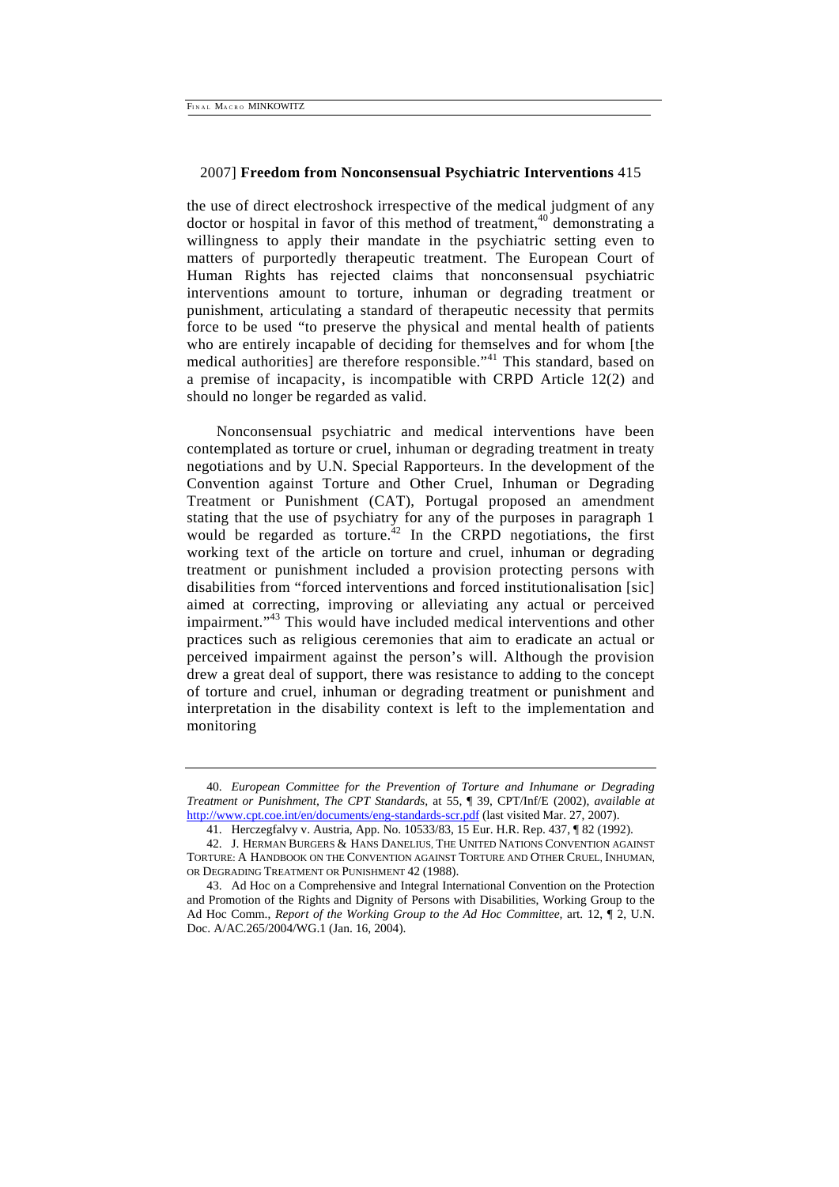the use of direct electroshock irrespective of the medical judgment of any doctor or hospital in favor of this method of treatment, $40$  demonstrating a willingness to apply their mandate in the psychiatric setting even to matters of purportedly therapeutic treatment. The European Court of Human Rights has rejected claims that nonconsensual psychiatric interventions amount to torture, inhuman or degrading treatment or punishment, articulating a standard of therapeutic necessity that permits force to be used "to preserve the physical and mental health of patients who are entirely incapable of deciding for themselves and for whom [the medical authorities] are therefore responsible."<sup>41</sup> This standard, based on a premise of incapacity, is incompatible with CRPD Article 12(2) and should no longer be regarded as valid.

Nonconsensual psychiatric and medical interventions have been contemplated as torture or cruel, inhuman or degrading treatment in treaty negotiations and by U.N. Special Rapporteurs. In the development of the Convention against Torture and Other Cruel, Inhuman or Degrading Treatment or Punishment (CAT), Portugal proposed an amendment stating that the use of psychiatry for any of the purposes in paragraph 1 would be regarded as torture.<sup> $42$ </sup> In the CRPD negotiations, the first working text of the article on torture and cruel, inhuman or degrading treatment or punishment included a provision protecting persons with disabilities from "forced interventions and forced institutionalisation [sic] aimed at correcting, improving or alleviating any actual or perceived impairment."<sup>43</sup> This would have included medical interventions and other practices such as religious ceremonies that aim to eradicate an actual or perceived impairment against the person's will. Although the provision drew a great deal of support, there was resistance to adding to the concept of torture and cruel, inhuman or degrading treatment or punishment and interpretation in the disability context is left to the implementation and monitoring

<sup>40.</sup> *European Committee for the Prevention of Torture and Inhumane or Degrading Treatment or Punishment, The CPT Standards,* at 55, ¶ 39, CPT/Inf/E (2002), *available at*  http://www.cpt.coe.int/en/documents/eng-standards-scr.pdf (last visited Mar. 27, 2007).

<sup>41.</sup> Herczegfalvy v. Austria, App. No. 10533/83, 15 Eur. H.R. Rep. 437, ¶ 82 (1992).

<sup>42.</sup> J. HERMAN BURGERS & HANS DANELIUS, THE UNITED NATIONS CONVENTION AGAINST TORTURE: A HANDBOOK ON THE CONVENTION AGAINST TORTURE AND OTHER CRUEL, INHUMAN, OR DEGRADING TREATMENT OR PUNISHMENT 42 (1988).

<sup>43.</sup> Ad Hoc on a Comprehensive and Integral International Convention on the Protection and Promotion of the Rights and Dignity of Persons with Disabilities, Working Group to the Ad Hoc Comm., *Report of the Working Group to the Ad Hoc Committee,* art. 12, ¶ 2, U.N. Doc. A/AC.265/2004/WG.1 (Jan. 16, 2004).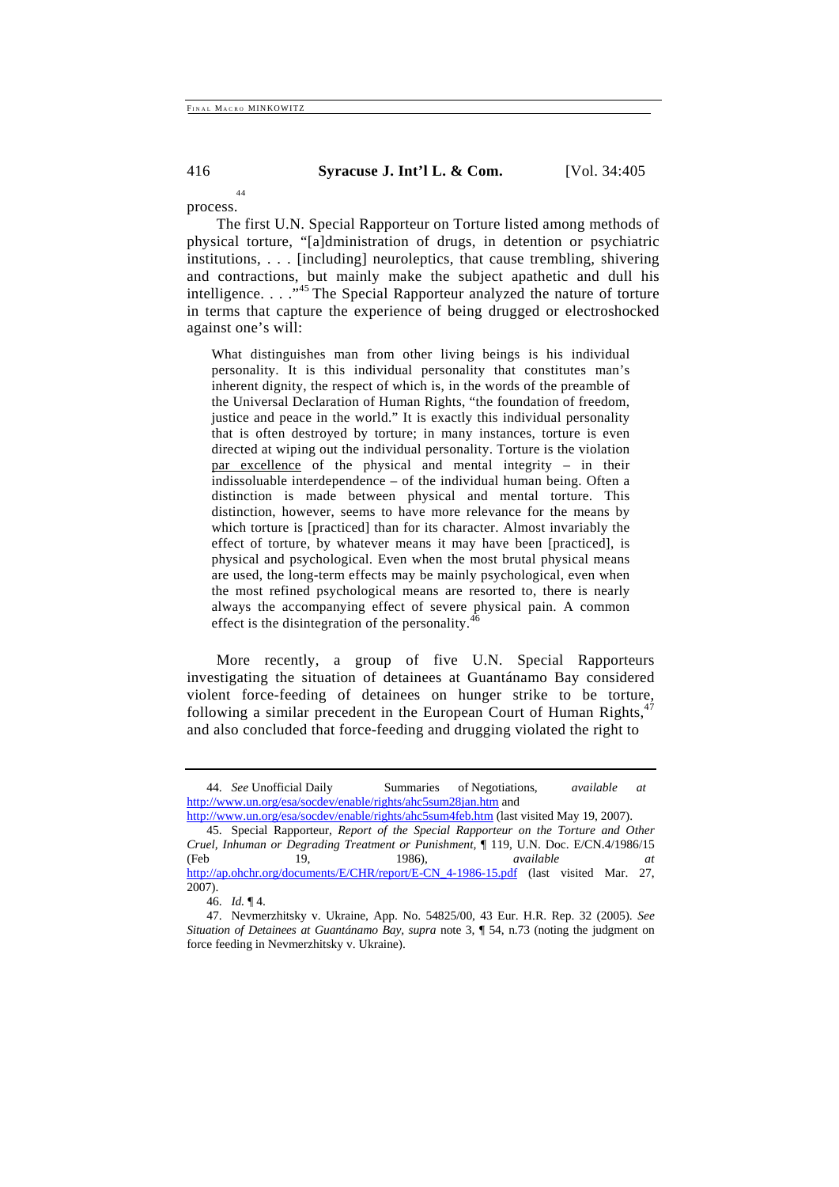44

416 **Syracuse J. Int'l L. & Com.** [Vol. 34:405

process.

The first U.N. Special Rapporteur on Torture listed among methods of physical torture, "[a]dministration of drugs, in detention or psychiatric institutions, . . . [including] neuroleptics, that cause trembling, shivering and contractions, but mainly make the subject apathetic and dull his intelligence. . . .<sup>45</sup> The Special Rapporteur analyzed the nature of torture in terms that capture the experience of being drugged or electroshocked against one's will:

What distinguishes man from other living beings is his individual personality. It is this individual personality that constitutes man's inherent dignity, the respect of which is, in the words of the preamble of the Universal Declaration of Human Rights, "the foundation of freedom, justice and peace in the world." It is exactly this individual personality that is often destroyed by torture; in many instances, torture is even directed at wiping out the individual personality. Torture is the violation par excellence of the physical and mental integrity – in their indissoluable interdependence – of the individual human being. Often a distinction is made between physical and mental torture. This distinction, however, seems to have more relevance for the means by which torture is [practiced] than for its character. Almost invariably the effect of torture, by whatever means it may have been [practiced], is physical and psychological. Even when the most brutal physical means are used, the long-term effects may be mainly psychological, even when the most refined psychological means are resorted to, there is nearly always the accompanying effect of severe physical pain. A common effect is the disintegration of the personality. $46$ 

More recently, a group of five U.N. Special Rapporteurs investigating the situation of detainees at Guantánamo Bay considered violent force-feeding of detainees on hunger strike to be torture, following a similar precedent in the European Court of Human Rights, and also concluded that force-feeding and drugging violated the right to

<sup>44.</sup> *See* Unofficial Daily Summaries of Negotiations, *available at*  http://www.un.org/esa/socdev/enable/rights/ahc5sum28jan.htm and

http://www.un.org/esa/socdev/enable/rights/ahc5sum4feb.htm (last visited May 19, 2007).

<sup>45.</sup> Special Rapporteur, *Report of the Special Rapporteur on the Torture and Other Cruel, Inhuman or Degrading Treatment or Punishment,* ¶ 119, U.N. Doc. E/CN.4/1986/15 (Feb 19, 1986), *available at*  http://ap.ohchr.org/documents/E/CHR/report/E-CN\_4-1986-15.pdf (last visited Mar. 27,  $2007$ ).

<sup>46.</sup> *Id.* ¶ 4.

<sup>47.</sup> Nevmerzhitsky v. Ukraine, App. No. 54825/00, 43 Eur. H.R. Rep. 32 (2005). *See Situation of Detainees at Guantánamo Bay, supra note 3,* 154, n.73 (noting the judgment on force feeding in Nevmerzhitsky v. Ukraine).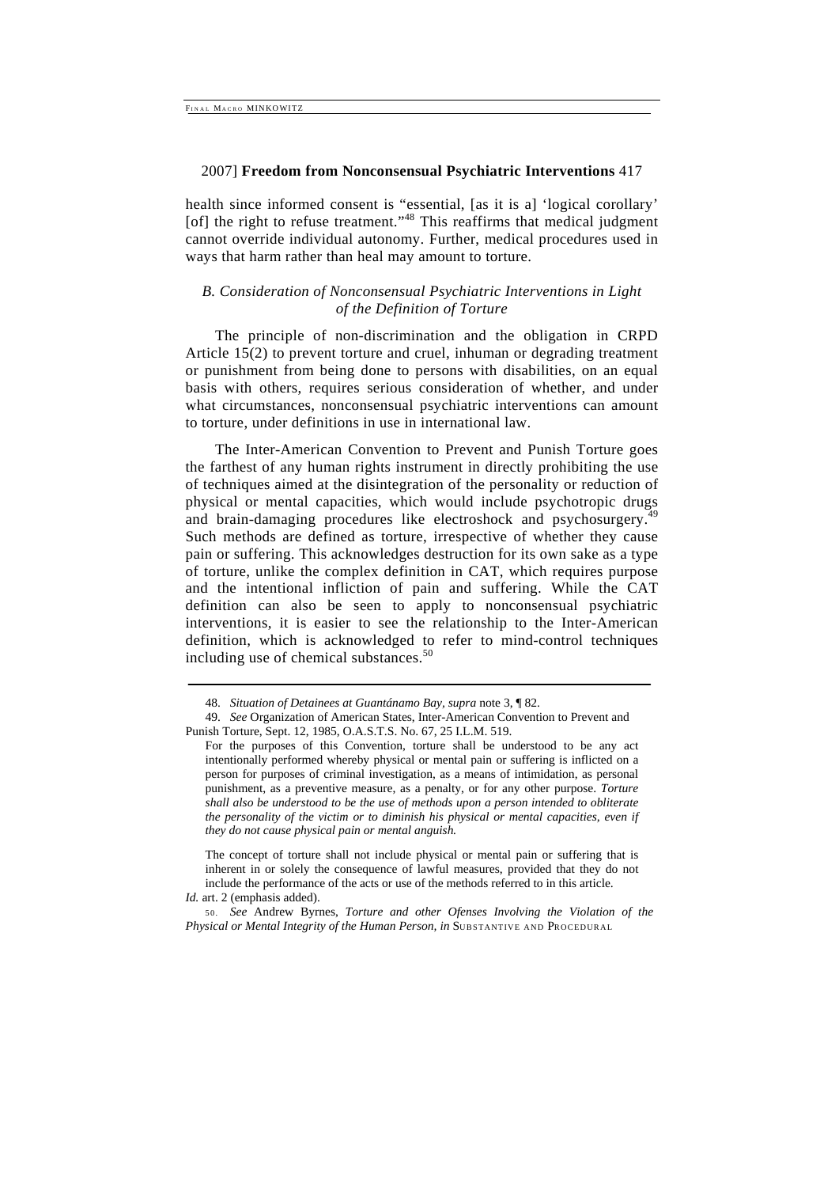health since informed consent is "essential, [as it is a] 'logical corollary' [of] the right to refuse treatment."<sup>48</sup> This reaffirms that medical judgment cannot override individual autonomy. Further, medical procedures used in ways that harm rather than heal may amount to torture.

# *B. Consideration of Nonconsensual Psychiatric Interventions in Light of the Definition of Torture*

The principle of non-discrimination and the obligation in CRPD Article 15(2) to prevent torture and cruel, inhuman or degrading treatment or punishment from being done to persons with disabilities, on an equal basis with others, requires serious consideration of whether, and under what circumstances, nonconsensual psychiatric interventions can amount to torture, under definitions in use in international law.

The Inter-American Convention to Prevent and Punish Torture goes the farthest of any human rights instrument in directly prohibiting the use of techniques aimed at the disintegration of the personality or reduction of physical or mental capacities, which would include psychotropic drugs and brain-damaging procedures like electroshock and psychosurgery.<sup>4</sup> Such methods are defined as torture, irrespective of whether they cause pain or suffering. This acknowledges destruction for its own sake as a type of torture, unlike the complex definition in CAT, which requires purpose and the intentional infliction of pain and suffering. While the CAT definition can also be seen to apply to nonconsensual psychiatric interventions, it is easier to see the relationship to the Inter-American definition, which is acknowledged to refer to mind-control techniques including use of chemical substances.<sup>50</sup>

The concept of torture shall not include physical or mental pain or suffering that is inherent in or solely the consequence of lawful measures, provided that they do not include the performance of the acts or use of the methods referred to in this article. *Id.* art. 2 (emphasis added).

<sup>48.</sup> *Situation of Detainees at Guantánamo Bay, supra* note 3, ¶ 82.

<sup>49.</sup> *See* Organization of American States, Inter-American Convention to Prevent and Punish Torture, Sept. 12, 1985, O.A.S.T.S. No. 67, 25 I.L.M. 519.

For the purposes of this Convention, torture shall be understood to be any act intentionally performed whereby physical or mental pain or suffering is inflicted on a person for purposes of criminal investigation, as a means of intimidation, as personal punishment, as a preventive measure, as a penalty, or for any other purpose. *Torture shall also be understood to be the use of methods upon a person intended to obliterate the personality of the victim or to diminish his physical or mental capacities, even if they do not cause physical pain or mental anguish.* 

<sup>50.</sup> *See* Andrew Byrnes, *Torture and other Ofenses Involving the Violation of the Physical or Mental Integrity of the Human Person, in SUBSTANTIVE AND PROCEDURAL*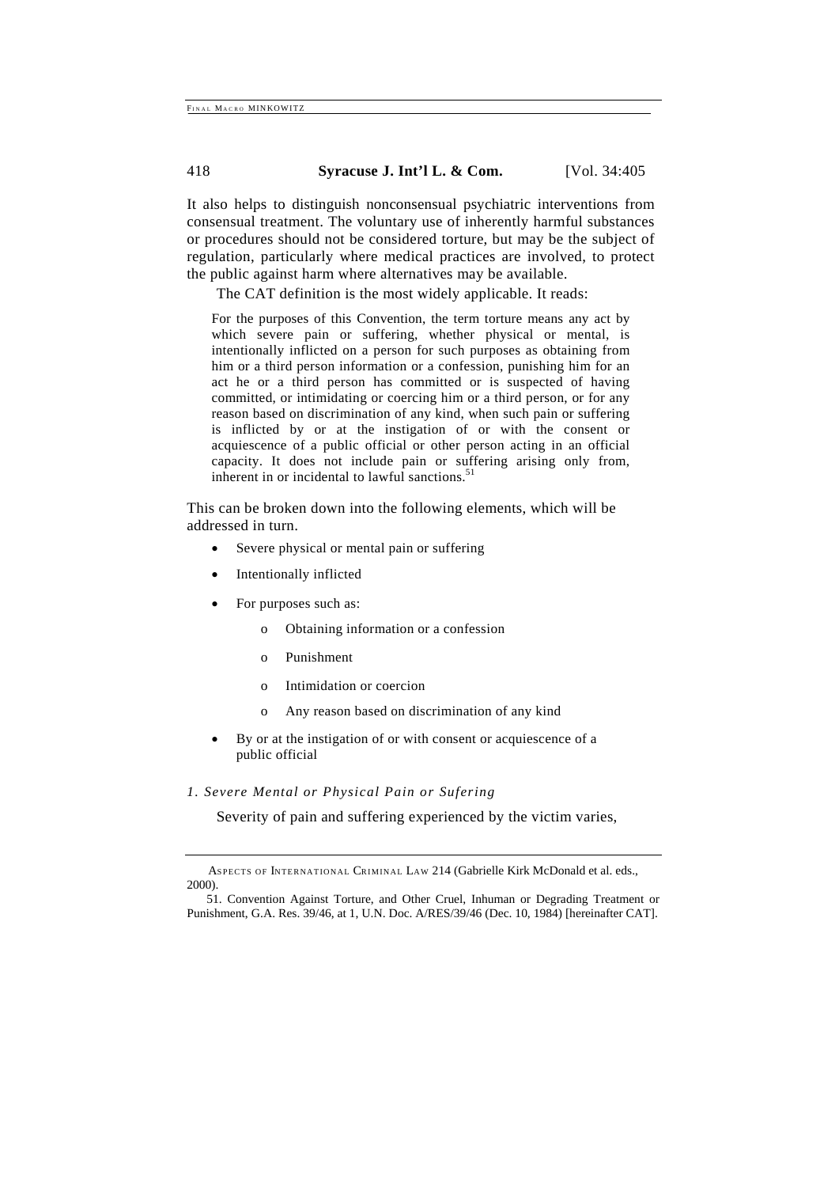It also helps to distinguish nonconsensual psychiatric interventions from consensual treatment. The voluntary use of inherently harmful substances or procedures should not be considered torture, but may be the subject of regulation, particularly where medical practices are involved, to protect the public against harm where alternatives may be available.

The CAT definition is the most widely applicable. It reads:

For the purposes of this Convention, the term torture means any act by which severe pain or suffering, whether physical or mental, is intentionally inflicted on a person for such purposes as obtaining from him or a third person information or a confession, punishing him for an act he or a third person has committed or is suspected of having committed, or intimidating or coercing him or a third person, or for any reason based on discrimination of any kind, when such pain or suffering is inflicted by or at the instigation of or with the consent or acquiescence of a public official or other person acting in an official capacity. It does not include pain or suffering arising only from, inherent in or incidental to lawful sanctions.<sup>51</sup>

This can be broken down into the following elements, which will be addressed in turn.

- Severe physical or mental pain or suffering
- Intentionally inflicted
- For purposes such as:
	- o Obtaining information or a confession
	- o Punishment
	- o Intimidation or coercion
	- o Any reason based on discrimination of any kind
- By or at the instigation of or with consent or acquiescence of a public official

# *1. Severe Mental or Physical Pain or Sufering*

Severity of pain and suffering experienced by the victim varies,

ASPECTS OF INTERNATIONAL CRIMINAL LAW 214 (Gabrielle Kirk McDonald et al. eds., 2000).

<sup>51.</sup> Convention Against Torture, and Other Cruel, Inhuman or Degrading Treatment or Punishment, G.A. Res. 39/46, at 1, U.N. Doc. A/RES/39/46 (Dec. 10, 1984) [hereinafter CAT].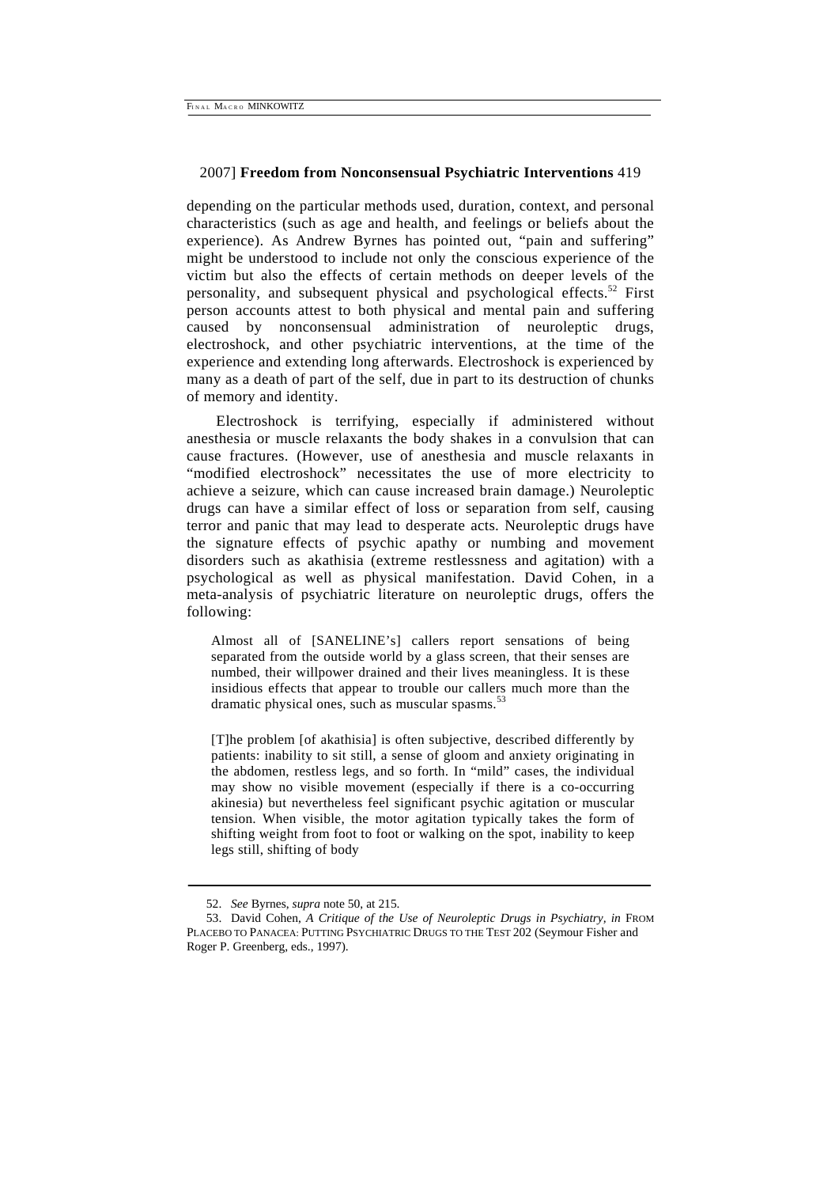depending on the particular methods used, duration, context, and personal characteristics (such as age and health, and feelings or beliefs about the experience). As Andrew Byrnes has pointed out, "pain and suffering" might be understood to include not only the conscious experience of the victim but also the effects of certain methods on deeper levels of the personality, and subsequent physical and psychological effects.<sup>52</sup> First person accounts attest to both physical and mental pain and suffering caused by nonconsensual administration of neuroleptic drugs, electroshock, and other psychiatric interventions, at the time of the experience and extending long afterwards. Electroshock is experienced by many as a death of part of the self, due in part to its destruction of chunks of memory and identity.

Electroshock is terrifying, especially if administered without anesthesia or muscle relaxants the body shakes in a convulsion that can cause fractures. (However, use of anesthesia and muscle relaxants in "modified electroshock" necessitates the use of more electricity to achieve a seizure, which can cause increased brain damage.) Neuroleptic drugs can have a similar effect of loss or separation from self, causing terror and panic that may lead to desperate acts. Neuroleptic drugs have the signature effects of psychic apathy or numbing and movement disorders such as akathisia (extreme restlessness and agitation) with a psychological as well as physical manifestation. David Cohen, in a meta-analysis of psychiatric literature on neuroleptic drugs, offers the following:

Almost all of [SANELINE's] callers report sensations of being separated from the outside world by a glass screen, that their senses are numbed, their willpower drained and their lives meaningless. It is these insidious effects that appear to trouble our callers much more than the dramatic physical ones, such as muscular spasms.<sup>5</sup>

[T]he problem [of akathisia] is often subjective, described differently by patients: inability to sit still, a sense of gloom and anxiety originating in the abdomen, restless legs, and so forth. In "mild" cases, the individual may show no visible movement (especially if there is a co-occurring akinesia) but nevertheless feel significant psychic agitation or muscular tension. When visible, the motor agitation typically takes the form of shifting weight from foot to foot or walking on the spot, inability to keep legs still, shifting of body

<sup>52.</sup> *See* Byrnes, *supra* note 50, at 215.

<sup>53.</sup> David Cohen, *A Critique of the Use of Neuroleptic Drugs in Psychiatry, in FROM* PLACEBO TO PANACEA: PUTTING PSYCHIATRIC DRUGS TO THE TEST 202 (Seymour Fisher and Roger P. Greenberg, eds., 1997).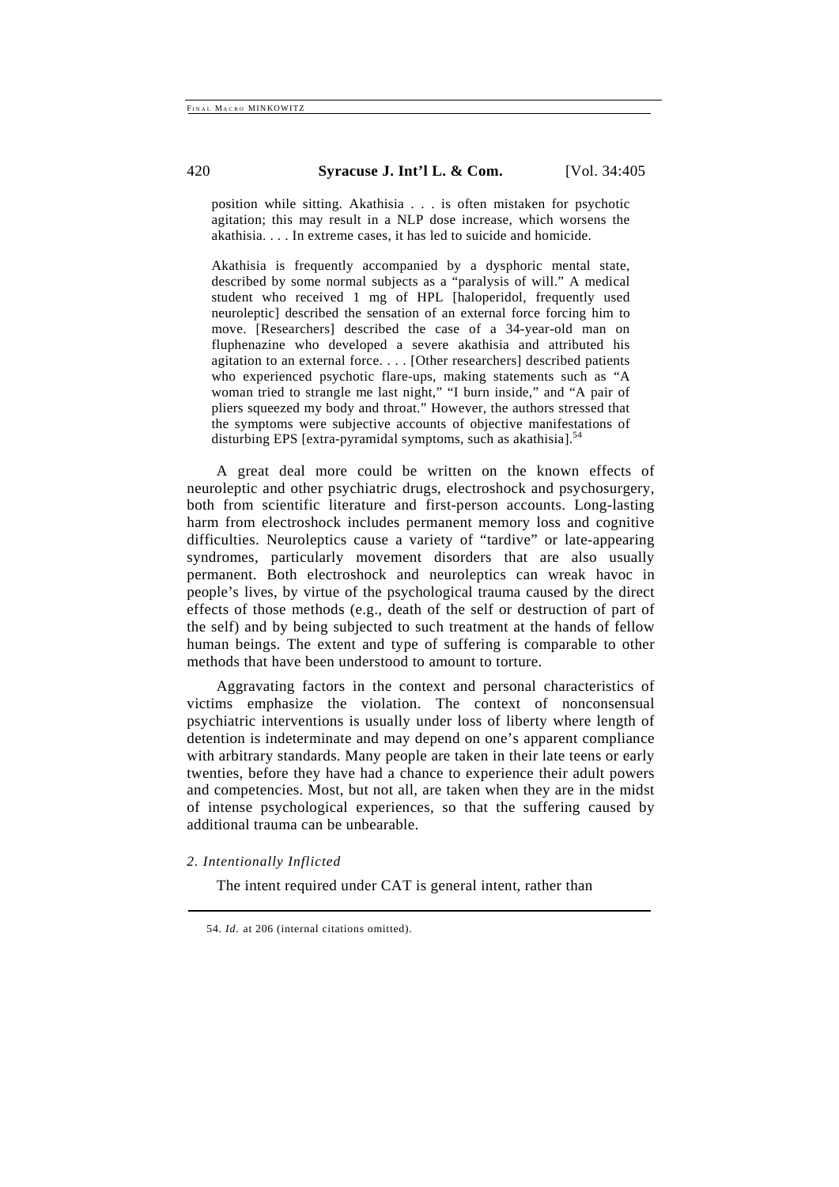position while sitting. Akathisia . . . is often mistaken for psychotic agitation; this may result in a NLP dose increase, which worsens the akathisia. . . . In extreme cases, it has led to suicide and homicide.

Akathisia is frequently accompanied by a dysphoric mental state, described by some normal subjects as a "paralysis of will." A medical student who received 1 mg of HPL [haloperidol, frequently used neuroleptic] described the sensation of an external force forcing him to move. [Researchers] described the case of a 34-year-old man on fluphenazine who developed a severe akathisia and attributed his agitation to an external force. . . . [Other researchers] described patients who experienced psychotic flare-ups, making statements such as "A woman tried to strangle me last night," "I burn inside," and "A pair of pliers squeezed my body and throat." However, the authors stressed that the symptoms were subjective accounts of objective manifestations of disturbing EPS [extra-pyramidal symptoms, such as akathisia].<sup>54</sup>

A great deal more could be written on the known effects of neuroleptic and other psychiatric drugs, electroshock and psychosurgery, both from scientific literature and first-person accounts. Long-lasting harm from electroshock includes permanent memory loss and cognitive difficulties. Neuroleptics cause a variety of "tardive" or late-appearing syndromes, particularly movement disorders that are also usually permanent. Both electroshock and neuroleptics can wreak havoc in people's lives, by virtue of the psychological trauma caused by the direct effects of those methods (e.g., death of the self or destruction of part of the self) and by being subjected to such treatment at the hands of fellow human beings. The extent and type of suffering is comparable to other methods that have been understood to amount to torture.

Aggravating factors in the context and personal characteristics of victims emphasize the violation. The context of nonconsensual psychiatric interventions is usually under loss of liberty where length of detention is indeterminate and may depend on one's apparent compliance with arbitrary standards. Many people are taken in their late teens or early twenties, before they have had a chance to experience their adult powers and competencies. Most, but not all, are taken when they are in the midst of intense psychological experiences, so that the suffering caused by additional trauma can be unbearable.

# *2. Intentionally Inflicted*

The intent required under CAT is general intent, rather than

<sup>54.</sup> *Id.* at 206 (internal citations omitted).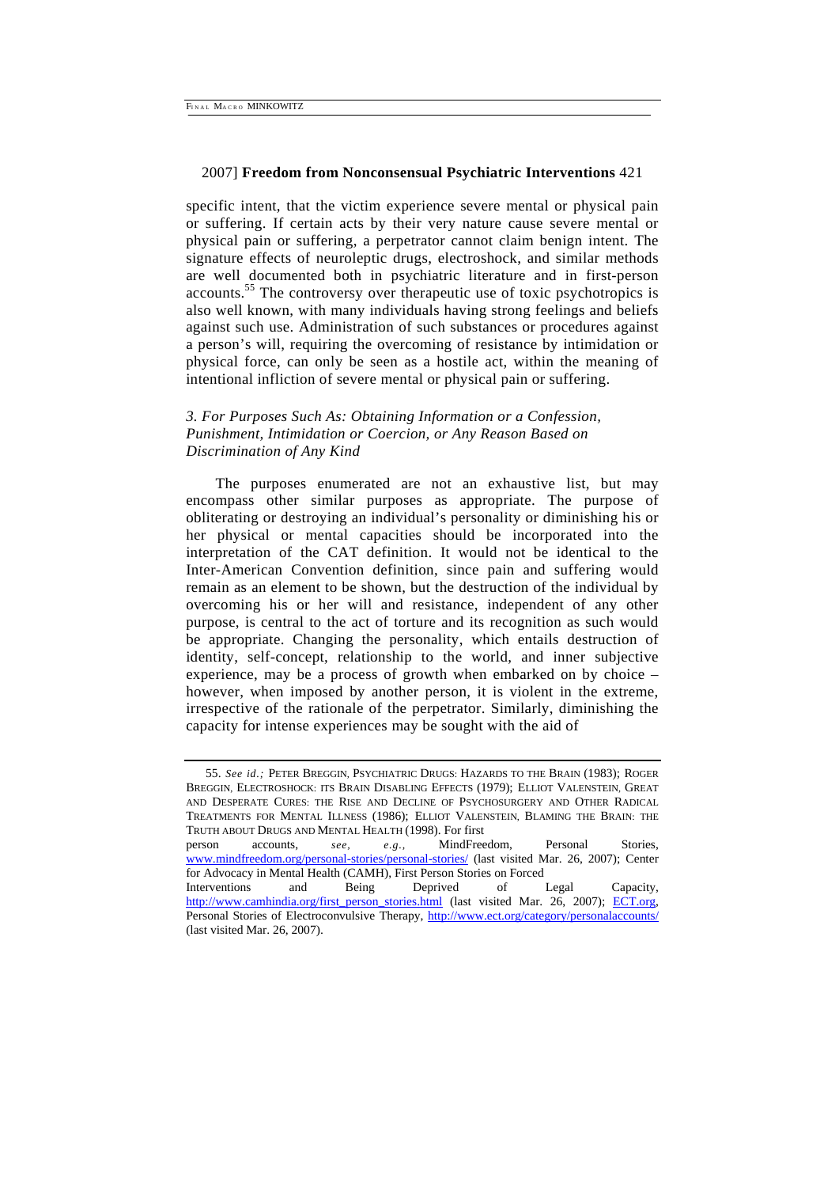specific intent, that the victim experience severe mental or physical pain or suffering. If certain acts by their very nature cause severe mental or physical pain or suffering, a perpetrator cannot claim benign intent. The signature effects of neuroleptic drugs, electroshock, and similar methods are well documented both in psychiatric literature and in first-person accounts.55 The controversy over therapeutic use of toxic psychotropics is also well known, with many individuals having strong feelings and beliefs against such use. Administration of such substances or procedures against a person's will, requiring the overcoming of resistance by intimidation or physical force, can only be seen as a hostile act, within the meaning of intentional infliction of severe mental or physical pain or suffering.

# *3. For Purposes Such As: Obtaining Information or a Confession, Punishment, Intimidation or Coercion, or Any Reason Based on Discrimination of Any Kind*

The purposes enumerated are not an exhaustive list, but may encompass other similar purposes as appropriate. The purpose of obliterating or destroying an individual's personality or diminishing his or her physical or mental capacities should be incorporated into the interpretation of the CAT definition. It would not be identical to the Inter-American Convention definition, since pain and suffering would remain as an element to be shown, but the destruction of the individual by overcoming his or her will and resistance, independent of any other purpose, is central to the act of torture and its recognition as such would be appropriate. Changing the personality, which entails destruction of identity, self-concept, relationship to the world, and inner subjective experience, may be a process of growth when embarked on by choice – however, when imposed by another person, it is violent in the extreme, irrespective of the rationale of the perpetrator. Similarly, diminishing the capacity for intense experiences may be sought with the aid of

<sup>55.</sup> *See id.;* PETER BREGGIN, PSYCHIATRIC DRUGS: HAZARDS TO THE BRAIN (1983); ROGER BREGGIN, ELECTROSHOCK: ITS BRAIN DISABLING EFFECTS (1979); ELLIOT VALENSTEIN, GREAT AND DESPERATE CURES: THE RISE AND DECLINE OF PSYCHOSURGERY AND OTHER RADICAL TREATMENTS FOR MENTAL ILLNESS (1986); ELLIOT VALENSTEIN, BLAMING THE BRAIN: THE TRUTH ABOUT DRUGS AND MENTAL HEALTH (1998). For first person accounts, *see, e.g.,* MindFreedom, Personal Stories, www.mindfreedom.org/personal-stories/personal-stories/ (last visited Mar. 26, 2007); Center for Advocacy in Mental Health (CAMH), First Person Stories on Forced Interventions and Being Deprived of Legal Capacity, http://www.camhindia.org/first\_person\_stories.html (last visited Mar. 26, 2007); ECT.org, Personal Stories of Electroconvulsive Therapy, http://www.ect.org/category/personalaccounts/ (last visited Mar. 26, 2007).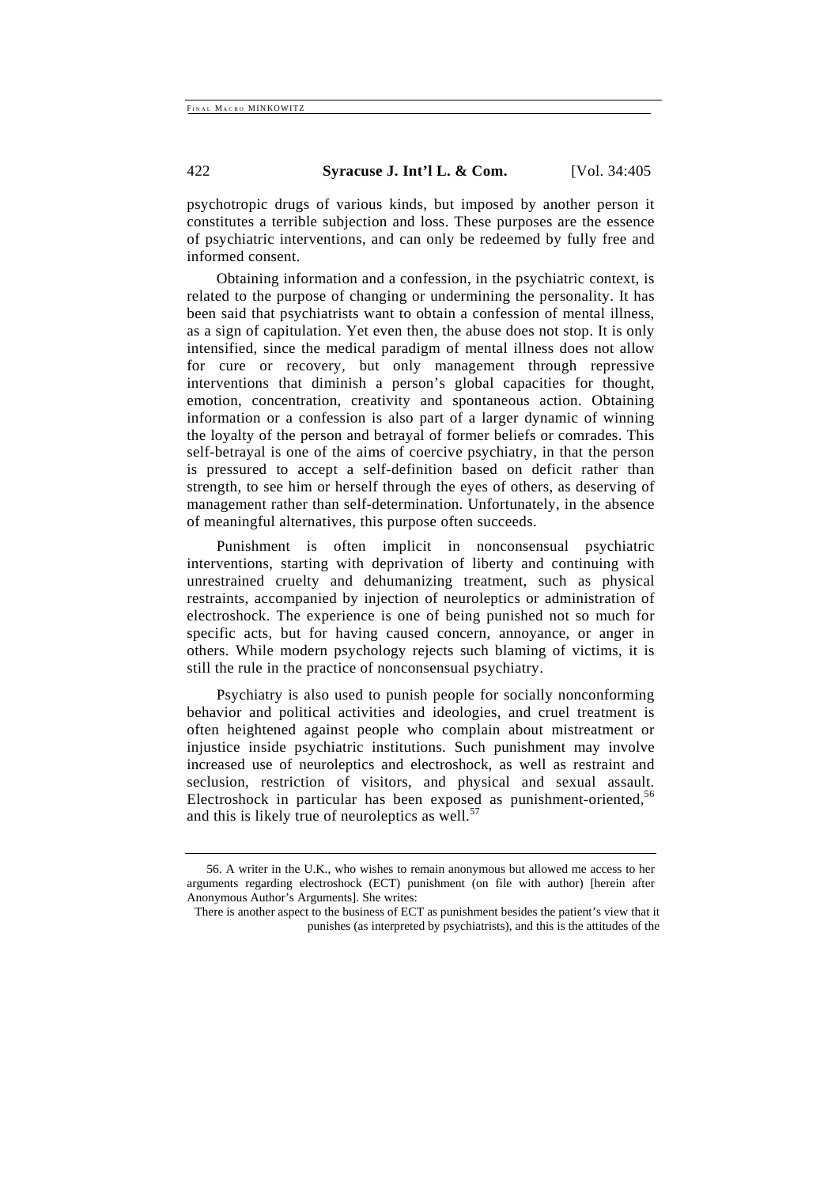psychotropic drugs of various kinds, but imposed by another person it constitutes a terrible subjection and loss. These purposes are the essence of psychiatric interventions, and can only be redeemed by fully free and informed consent.

Obtaining information and a confession, in the psychiatric context, is related to the purpose of changing or undermining the personality. It has been said that psychiatrists want to obtain a confession of mental illness, as a sign of capitulation. Yet even then, the abuse does not stop. It is only intensified, since the medical paradigm of mental illness does not allow for cure or recovery, but only management through repressive interventions that diminish a person's global capacities for thought, emotion, concentration, creativity and spontaneous action. Obtaining information or a confession is also part of a larger dynamic of winning the loyalty of the person and betrayal of former beliefs or comrades. This self-betrayal is one of the aims of coercive psychiatry, in that the person is pressured to accept a self-definition based on deficit rather than strength, to see him or herself through the eyes of others, as deserving of management rather than self-determination. Unfortunately, in the absence of meaningful alternatives, this purpose often succeeds.

Punishment is often implicit in nonconsensual psychiatric interventions, starting with deprivation of liberty and continuing with unrestrained cruelty and dehumanizing treatment, such as physical restraints, accompanied by injection of neuroleptics or administration of electroshock. The experience is one of being punished not so much for specific acts, but for having caused concern, annoyance, or anger in others. While modern psychology rejects such blaming of victims, it is still the rule in the practice of nonconsensual psychiatry.

Psychiatry is also used to punish people for socially nonconforming behavior and political activities and ideologies, and cruel treatment is often heightened against people who complain about mistreatment or injustice inside psychiatric institutions. Such punishment may involve increased use of neuroleptics and electroshock, as well as restraint and seclusion, restriction of visitors, and physical and sexual assault. Electroshock in particular has been exposed as punishment-oriented,  $56$ and this is likely true of neuroleptics as well. $57$ 

<sup>56.</sup> A writer in the U.K., who wishes to remain anonymous but allowed me access to her arguments regarding electroshock (ECT) punishment (on file with author) [herein after Anonymous Author's Arguments]. She writes:

There is another aspect to the business of ECT as punishment besides the patient's view that it punishes (as interpreted by psychiatrists), and this is the attitudes of the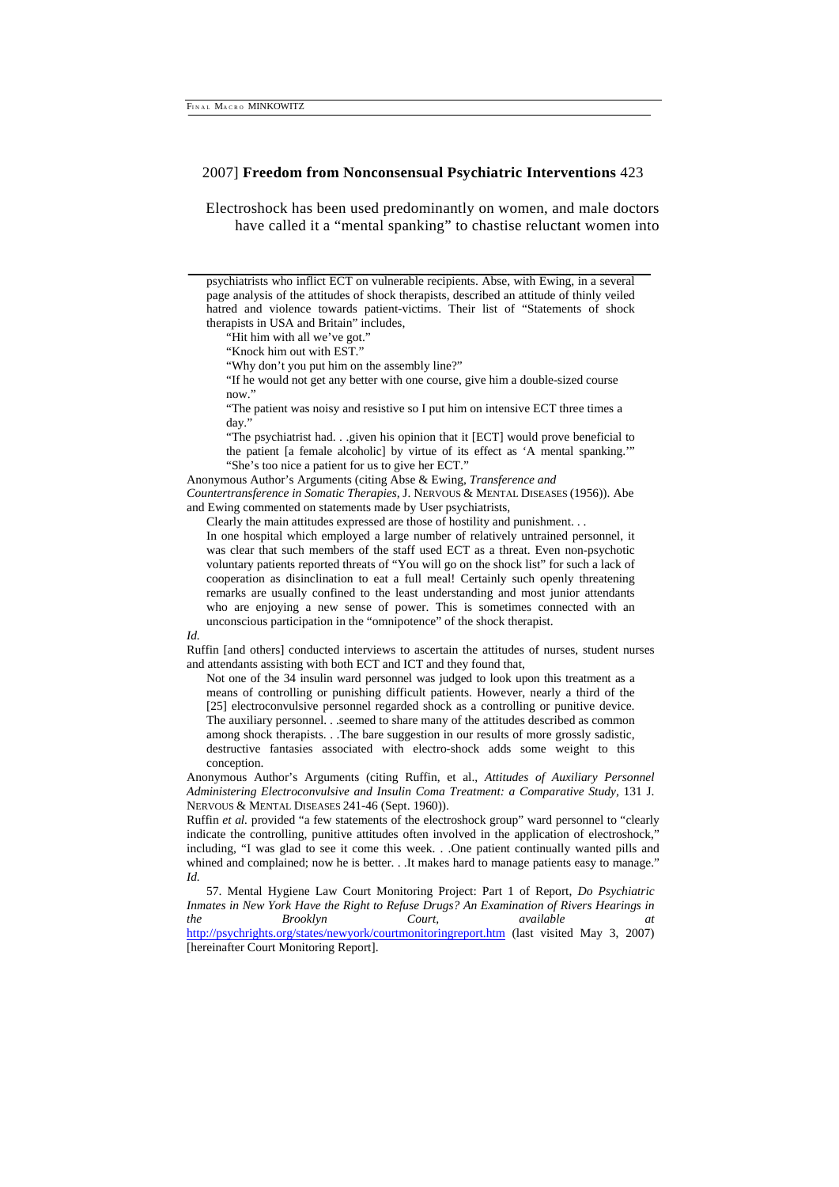Electroshock has been used predominantly on women, and male doctors have called it a "mental spanking" to chastise reluctant women into

psychiatrists who inflict ECT on vulnerable recipients. Abse, with Ewing, in a several page analysis of the attitudes of shock therapists, described an attitude of thinly veiled hatred and violence towards patient-victims. Their list of "Statements of shock therapists in USA and Britain" includes,

"Hit him with all we've got."

"Knock him out with EST."

"Why don't you put him on the assembly line?"

"If he would not get any better with one course, give him a double-sized course now."

"The patient was noisy and resistive so I put him on intensive ECT three times a day."

"The psychiatrist had. . .given his opinion that it [ECT] would prove beneficial to the patient [a female alcoholic] by virtue of its effect as 'A mental spanking.' "She's too nice a patient for us to give her ECT."

Anonymous Author's Arguments (citing Abse & Ewing, *Transference and Countertransference in Somatic Therapies,* J. NERVOUS & MENTAL DISEASES (1956)). Abe and Ewing commented on statements made by User psychiatrists,

Clearly the main attitudes expressed are those of hostility and punishment. . .

In one hospital which employed a large number of relatively untrained personnel, it was clear that such members of the staff used ECT as a threat. Even non-psychotic voluntary patients reported threats of "You will go on the shock list" for such a lack of cooperation as disinclination to eat a full meal! Certainly such openly threatening remarks are usually confined to the least understanding and most junior attendants who are enjoying a new sense of power. This is sometimes connected with an unconscious participation in the "omnipotence" of the shock therapist.

*Id.* 

Ruffin [and others] conducted interviews to ascertain the attitudes of nurses, student nurses and attendants assisting with both ECT and ICT and they found that,

Not one of the 34 insulin ward personnel was judged to look upon this treatment as a means of controlling or punishing difficult patients. However, nearly a third of the [25] electroconvulsive personnel regarded shock as a controlling or punitive device. The auxiliary personnel. . .seemed to share many of the attitudes described as common among shock therapists. . .The bare suggestion in our results of more grossly sadistic, destructive fantasies associated with electro-shock adds some weight to this conception.

Anonymous Author's Arguments (citing Ruffin, et al., *Attitudes of Auxiliary Personnel Administering Electroconvulsive and Insulin Coma Treatment: a Comparative Study,* 131 J. NERVOUS & MENTAL DISEASES 241-46 (Sept. 1960)).

Ruffin et al. provided "a few statements of the electroshock group" ward personnel to "clearly indicate the controlling, punitive attitudes often involved in the application of electroshock,' including, "I was glad to see it come this week. . .One patient continually wanted pills and whined and complained; now he is better. . .It makes hard to manage patients easy to manage.' *Id.* 

57. Mental Hygiene Law Court Monitoring Project: Part 1 of Report, *Do Psychiatric Inmates in New York Have the Right to Refuse Drugs? An Examination of Rivers Hearings in the Brooklyn Court, available at*  http://psychrights.org/states/newyork/courtmonitoringreport.htm (last visited May 3, 2007) [hereinafter Court Monitoring Report].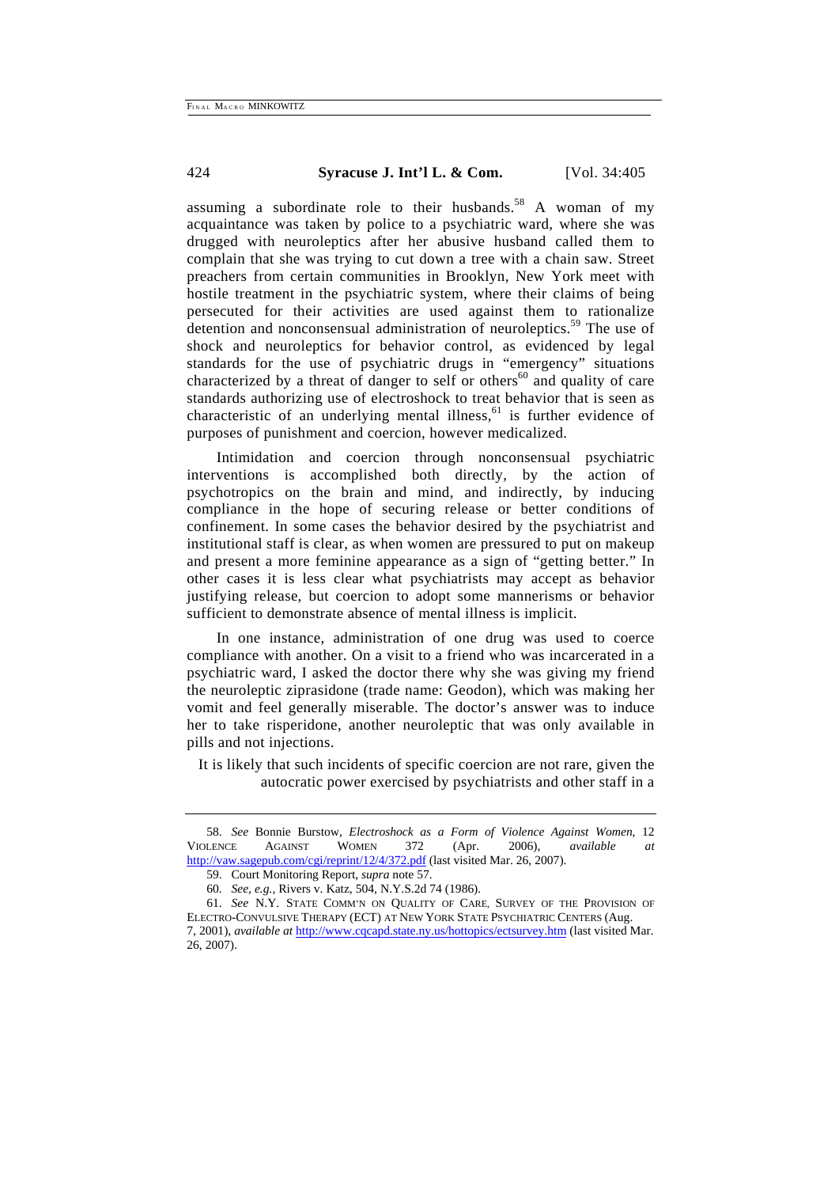assuming a subordinate role to their husbands.<sup>58</sup> A woman of my acquaintance was taken by police to a psychiatric ward, where she was drugged with neuroleptics after her abusive husband called them to complain that she was trying to cut down a tree with a chain saw. Street preachers from certain communities in Brooklyn, New York meet with hostile treatment in the psychiatric system, where their claims of being persecuted for their activities are used against them to rationalize detention and nonconsensual administration of neuroleptics.<sup>59</sup> The use of shock and neuroleptics for behavior control, as evidenced by legal standards for the use of psychiatric drugs in "emergency" situations characterized by a threat of danger to self or others $60$  and quality of care standards authorizing use of electroshock to treat behavior that is seen as characteristic of an underlying mental illness, $61$  is further evidence of purposes of punishment and coercion, however medicalized.

Intimidation and coercion through nonconsensual psychiatric interventions is accomplished both directly, by the action of psychotropics on the brain and mind, and indirectly, by inducing compliance in the hope of securing release or better conditions of confinement. In some cases the behavior desired by the psychiatrist and institutional staff is clear, as when women are pressured to put on makeup and present a more feminine appearance as a sign of "getting better." In other cases it is less clear what psychiatrists may accept as behavior justifying release, but coercion to adopt some mannerisms or behavior sufficient to demonstrate absence of mental illness is implicit.

In one instance, administration of one drug was used to coerce compliance with another. On a visit to a friend who was incarcerated in a psychiatric ward, I asked the doctor there why she was giving my friend the neuroleptic ziprasidone (trade name: Geodon), which was making her vomit and feel generally miserable. The doctor's answer was to induce her to take risperidone, another neuroleptic that was only available in pills and not injections.

It is likely that such incidents of specific coercion are not rare, given the autocratic power exercised by psychiatrists and other staff in a

<sup>58.</sup> *See* Bonnie Burstow, *Electroshock as a Form of Violence Against Women,* 12 VIOLENCE AGAINST WOMEN 372 (Apr. 2006), *available at*  http://vaw.sagepub.com/cgi/reprint/12/4/372.pdf (last visited Mar. 26, 2007).

<sup>59.</sup> Court Monitoring Report, *supra* note 57.

<sup>60.</sup> *See, e.g.,* Rivers v. Katz, 504, N.Y.S.2d 74 (1986).

<sup>61.</sup> *See* N.Y. STATE COMM'N ON QUALITY OF CARE, SURVEY OF THE PROVISION OF ELECTRO-CONVULSIVE THERAPY (ECT) AT NEW YORK STATE PSYCHIATRIC CENTERS (Aug. 7, 2001), *available at* http://www.cqcapd.state.ny.us/hottopics/ectsurvey.htm (last visited Mar. 26, 2007).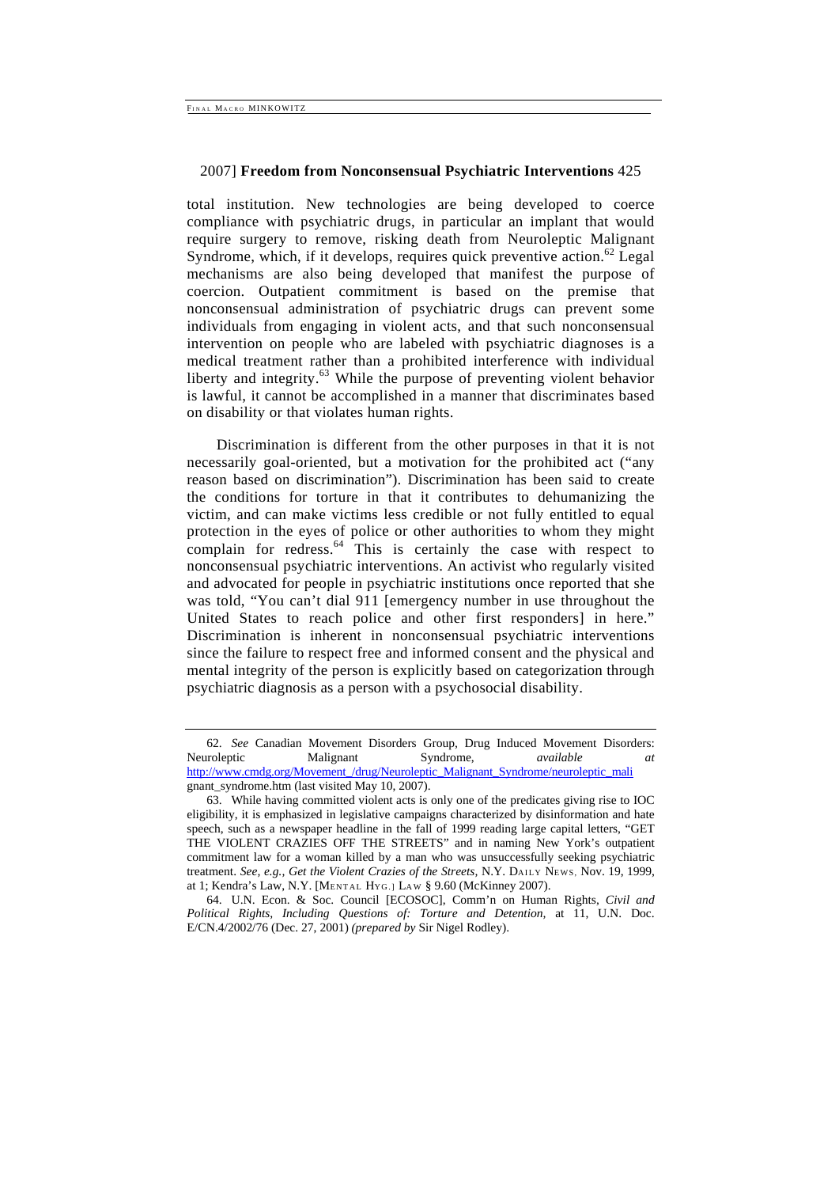total institution. New technologies are being developed to coerce compliance with psychiatric drugs, in particular an implant that would require surgery to remove, risking death from Neuroleptic Malignant Syndrome, which, if it develops, requires quick preventive action.<sup>62</sup> Legal mechanisms are also being developed that manifest the purpose of coercion. Outpatient commitment is based on the premise that nonconsensual administration of psychiatric drugs can prevent some individuals from engaging in violent acts, and that such nonconsensual intervention on people who are labeled with psychiatric diagnoses is a medical treatment rather than a prohibited interference with individual liberty and integrity.<sup>63</sup> While the purpose of preventing violent behavior is lawful, it cannot be accomplished in a manner that discriminates based on disability or that violates human rights.

Discrimination is different from the other purposes in that it is not necessarily goal-oriented, but a motivation for the prohibited act ("any reason based on discrimination"). Discrimination has been said to create the conditions for torture in that it contributes to dehumanizing the victim, and can make victims less credible or not fully entitled to equal protection in the eyes of police or other authorities to whom they might complain for redress. $64$  This is certainly the case with respect to nonconsensual psychiatric interventions. An activist who regularly visited and advocated for people in psychiatric institutions once reported that she was told, "You can't dial 911 [emergency number in use throughout the United States to reach police and other first responders] in here." Discrimination is inherent in nonconsensual psychiatric interventions since the failure to respect free and informed consent and the physical and mental integrity of the person is explicitly based on categorization through psychiatric diagnosis as a person with a psychosocial disability.

<sup>62.</sup> *See* Canadian Movement Disorders Group, Drug Induced Movement Disorders: Neuroleptic Malignant Syndrome, *available at*  http://www.cmdg.org/Movement\_/drug/Neuroleptic\_Malignant\_Syndrome/neuroleptic\_mali gnant\_syndrome.htm (last visited May 10, 2007).

<sup>63.</sup> While having committed violent acts is only one of the predicates giving rise to IOC eligibility, it is emphasized in legislative campaigns characterized by disinformation and hate speech, such as a newspaper headline in the fall of 1999 reading large capital letters, "GET THE VIOLENT CRAZIES OFF THE STREETS" and in naming New York's outpatient commitment law for a woman killed by a man who was unsuccessfully seeking psychiatric treatment. *See, e.g., Get the Violent Crazies of the Streets,* N.Y. DAILY NEWS, Nov. 19, 1999, at 1; Kendra's Law, N.Y. [MENTAL HYG.] LAW § 9.60 (McKinney 2007).

<sup>64.</sup> U.N. Econ. & Soc. Council [ECOSOC], Comm'n on Human Rights, *Civil and Political Rights, Including Questions of: Torture and Detention,* at 11, U.N. Doc. E/CN.4/2002/76 (Dec. 27, 2001) *(prepared by* Sir Nigel Rodley).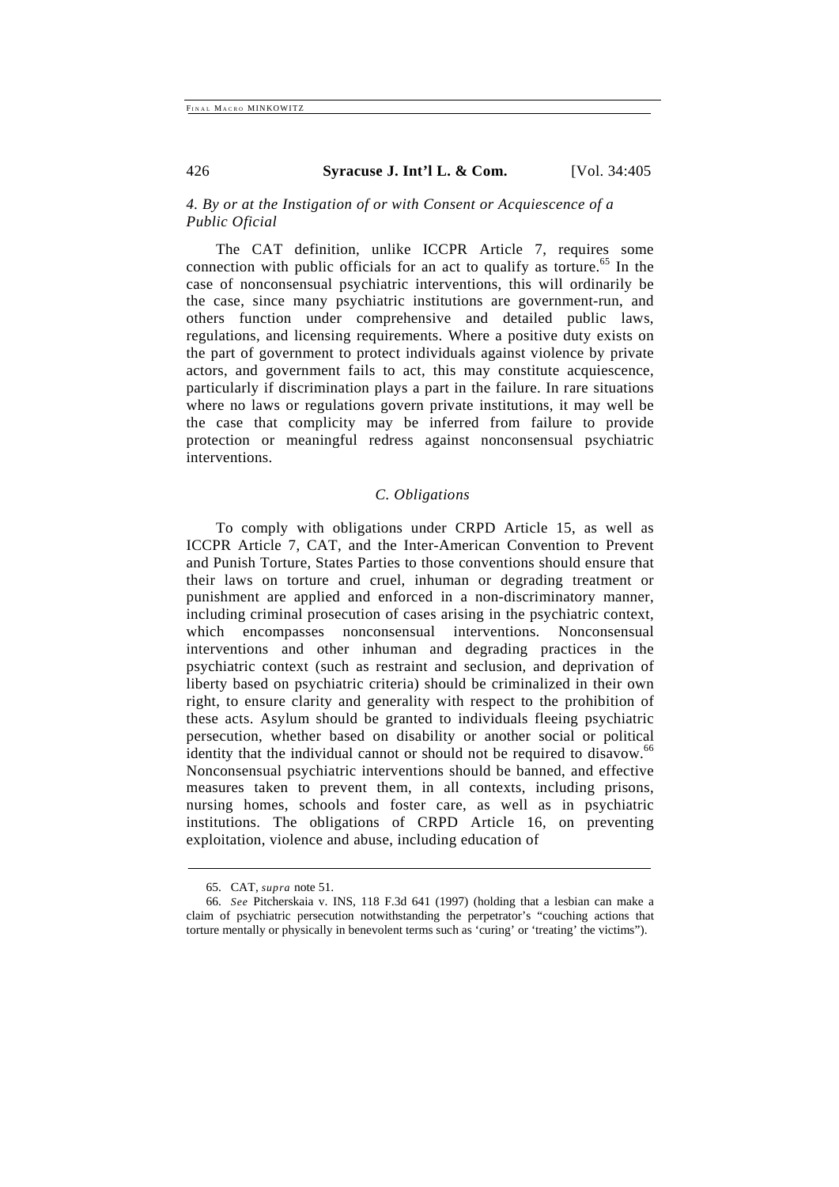# *4. By or at the Instigation of or with Consent or Acquiescence of a Public Oficial*

The CAT definition, unlike ICCPR Article 7, requires some connection with public officials for an act to qualify as torture.<sup>65</sup> In the case of nonconsensual psychiatric interventions, this will ordinarily be the case, since many psychiatric institutions are government-run, and others function under comprehensive and detailed public laws, regulations, and licensing requirements. Where a positive duty exists on the part of government to protect individuals against violence by private actors, and government fails to act, this may constitute acquiescence, particularly if discrimination plays a part in the failure. In rare situations where no laws or regulations govern private institutions, it may well be the case that complicity may be inferred from failure to provide protection or meaningful redress against nonconsensual psychiatric interventions.

# *C. Obligations*

To comply with obligations under CRPD Article 15, as well as ICCPR Article 7, CAT, and the Inter-American Convention to Prevent and Punish Torture, States Parties to those conventions should ensure that their laws on torture and cruel, inhuman or degrading treatment or punishment are applied and enforced in a non-discriminatory manner, including criminal prosecution of cases arising in the psychiatric context, which encompasses nonconsensual interventions. Nonconsensual interventions and other inhuman and degrading practices in the psychiatric context (such as restraint and seclusion, and deprivation of liberty based on psychiatric criteria) should be criminalized in their own right, to ensure clarity and generality with respect to the prohibition of these acts. Asylum should be granted to individuals fleeing psychiatric persecution, whether based on disability or another social or political identity that the individual cannot or should not be required to disavow.<sup>66</sup> Nonconsensual psychiatric interventions should be banned, and effective measures taken to prevent them, in all contexts, including prisons, nursing homes, schools and foster care, as well as in psychiatric institutions. The obligations of CRPD Article 16, on preventing exploitation, violence and abuse, including education of

<sup>65.</sup> CAT, *supra* note 51.

<sup>66.</sup> *See* Pitcherskaia v. INS, 118 F.3d 641 (1997) (holding that a lesbian can make a claim of psychiatric persecution notwithstanding the perpetrator's "couching actions that torture mentally or physically in benevolent terms such as 'curing' or 'treating' the victims").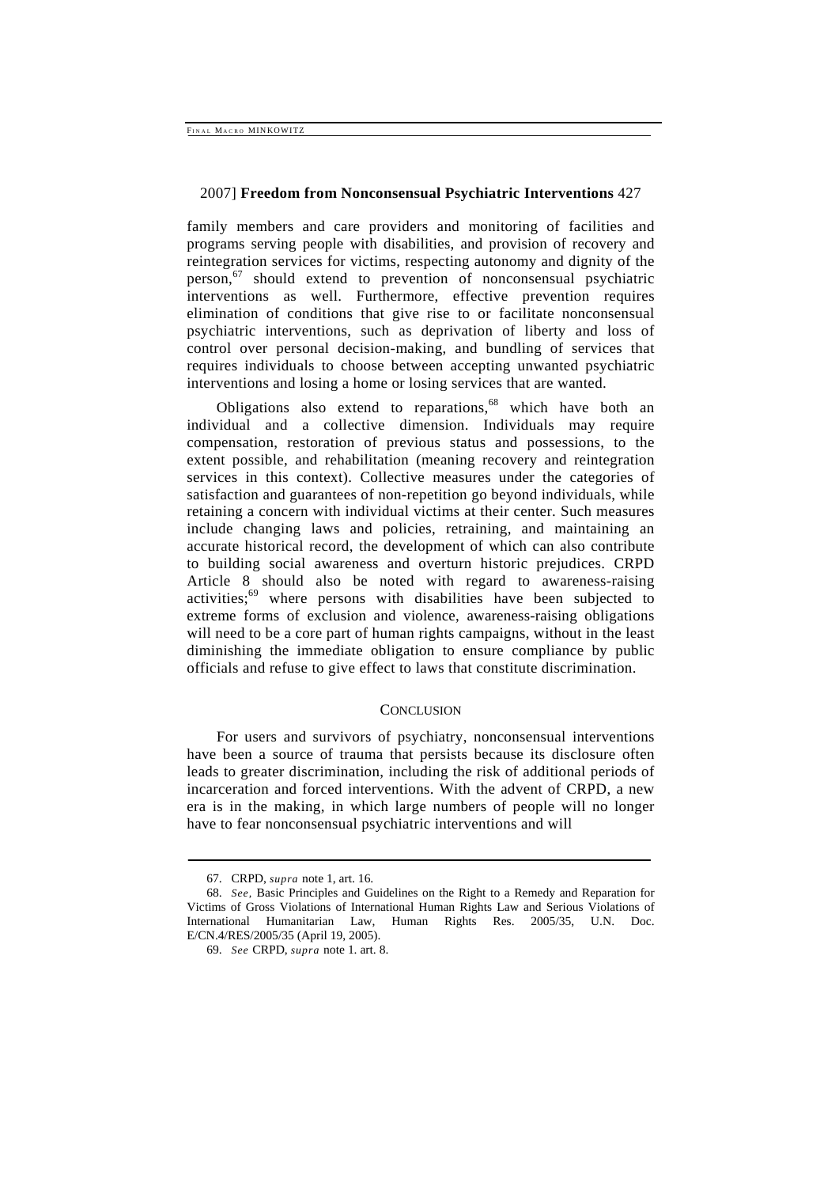family members and care providers and monitoring of facilities and programs serving people with disabilities, and provision of recovery and reintegration services for victims, respecting autonomy and dignity of the person,<sup>67</sup> should extend to prevention of nonconsensual psychiatric interventions as well. Furthermore, effective prevention requires elimination of conditions that give rise to or facilitate nonconsensual psychiatric interventions, such as deprivation of liberty and loss of control over personal decision-making, and bundling of services that requires individuals to choose between accepting unwanted psychiatric interventions and losing a home or losing services that are wanted.

Obligations also extend to reparations,  $68$  which have both an individual and a collective dimension. Individuals may require compensation, restoration of previous status and possessions, to the extent possible, and rehabilitation (meaning recovery and reintegration services in this context). Collective measures under the categories of satisfaction and guarantees of non-repetition go beyond individuals, while retaining a concern with individual victims at their center. Such measures include changing laws and policies, retraining, and maintaining an accurate historical record, the development of which can also contribute to building social awareness and overturn historic prejudices. CRPD Article 8 should also be noted with regard to awareness-raising activities;69 where persons with disabilities have been subjected to extreme forms of exclusion and violence, awareness-raising obligations will need to be a core part of human rights campaigns, without in the least diminishing the immediate obligation to ensure compliance by public officials and refuse to give effect to laws that constitute discrimination.

### CONCLUSION

For users and survivors of psychiatry, nonconsensual interventions have been a source of trauma that persists because its disclosure often leads to greater discrimination, including the risk of additional periods of incarceration and forced interventions. With the advent of CRPD, a new era is in the making, in which large numbers of people will no longer have to fear nonconsensual psychiatric interventions and will

<sup>67.</sup> CRPD, *supra* note 1, art. 16.

<sup>68.</sup> *See,* Basic Principles and Guidelines on the Right to a Remedy and Reparation for Victims of Gross Violations of International Human Rights Law and Serious Violations of International Humanitarian Law, Human Rights Res. 2005/35, U.N. Doc. E/CN.4/RES/2005/35 (April 19, 2005).

<sup>69.</sup> *See* CRPD, *supra* note 1. art. 8.